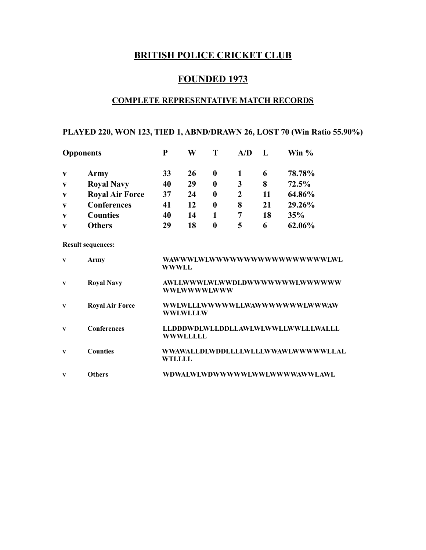# **BRITISH POLICE CRICKET CLUB**

# **FOUNDED 1973**

# **COMPLETE REPRESENTATIVE MATCH RECORDS**

# **PLAYED 220, WON 123, TIED 1, ABND/DRAWN 26, LOST 70 (Win Ratio 55.90%)**

| <b>Opponents</b> |                        | P  | W  |                  | ${\bf A} / {\bf D}$ |    | Win %  |
|------------------|------------------------|----|----|------------------|---------------------|----|--------|
| V                | Army                   | 33 | 26 | $\mathbf 0$      |                     | 6  | 78.78% |
| $\mathbf{V}$     | <b>Royal Navy</b>      | 40 | 29 | $\boldsymbol{0}$ | 3                   | 8  | 72.5%  |
| $\mathbf{V}$     | <b>Royal Air Force</b> | 37 | 24 | 0                | 2                   | 11 | 64.86% |
| $\mathbf{V}$     | <b>Conferences</b>     | 41 | 12 | 0                | 8                   | 21 | 29.26% |
| $\mathbf{V}$     | <b>Counties</b>        | 40 | 14 |                  |                     | 18 | 35%    |
| V                | <b>Others</b>          | 29 | 18 | $\boldsymbol{0}$ | 5                   | 6  | 62.06% |

**Result sequences:** 

| $\mathbf{v}$ | Army                   | WAWWU.WLWWWWWWWWWWWWWWWWWLWL<br><b>WWWLL</b>          |
|--------------|------------------------|-------------------------------------------------------|
| v            | <b>Royal Navy</b>      | AWLI.WWWLWI.WWDLDWWWWWWWLWWWWW<br>WWLWWWLWWW          |
| V            | <b>Royal Air Force</b> | WWLWLLLWWWWWLLWAWWWWWWWLWWWAW<br><b>WWLWLLLW</b>      |
| $\mathbf{v}$ | <b>Conferences</b>     | LLDDDWDLWLLDDLLAWLWLWWLLWWLLLWALLL<br><b>WWWLLLLL</b> |
| $\mathbf{v}$ | <b>Counties</b>        | WWAWALLDLWDDLLLLWLLLWWAWLWWWWWLLAL<br>WTLLLL          |
| V            | <b>Others</b>          | WDWALWLWDWWWWWLWWLWWWWWWAWWLAWL                       |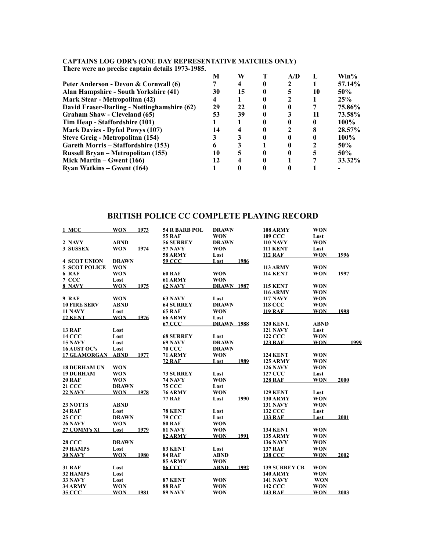#### **CAPTAINS LOG ODR's (ONE DAY REPRESENTATIVE MATCHES ONLY)**

|  | There were no precise captain details 1973-1985. |  |  |  |  |
|--|--------------------------------------------------|--|--|--|--|
|--|--------------------------------------------------|--|--|--|--|

|                                             | M  | W  | A/D |    | $Win\%$     |
|---------------------------------------------|----|----|-----|----|-------------|
| Peter Anderson - Devon & Cornwall (6)       |    |    |     |    | 57.14%      |
| Alan Hampshire - South Yorkshire (41)       | 30 | 15 |     | 10 | 50%         |
| <b>Mark Stear - Metropolitan (42)</b>       | 4  |    |     |    | 25%         |
| David Fraser-Darling - Nottinghamshire (62) | 29 | 22 |     |    | 75.86%      |
| Graham Shaw - Cleveland (65)                | 53 | 39 |     | 11 | 73.58%      |
| Tim Heap - Staffordshire (101)              |    |    |     |    | <b>100%</b> |
| <b>Mark Davies - Dyfed Powys (107)</b>      | 14 |    |     |    | 28.57%      |
| Steve Greig - Metropolitan (154)            |    |    |     |    | 100%        |
| Gareth Morris – Staffordshire (153)         |    |    |     |    | 50%         |
| Russell Brvan – Metropolitan (155)          | 10 |    |     |    | 50%         |
| Mick Martin – Gwent $(166)$                 | 12 |    |     |    | $33.32\%$   |
| <b>Ryan Watkins – Gwent (164)</b>           |    |    |     |    |             |

# **BRITISH POLICE CC COMPLETE PLAYING RECORD**

| 1 MCC                | <b>WON</b>   | 1973 | <b>54 R BARB POL</b> | <b>DRAWN</b>      |      | <b>108 ARMY</b>      | <b>WON</b>  |      |
|----------------------|--------------|------|----------------------|-------------------|------|----------------------|-------------|------|
|                      |              |      | <b>55 RAF</b>        | <b>WON</b>        |      | <b>109 CCC</b>       | Lost        |      |
| 2 NAVY               | <b>ABND</b>  |      | <b>56 SURREY</b>     | <b>DRAWN</b>      |      | <b>110 NAVY</b>      | <b>WON</b>  |      |
| 3 SUSSEX             | <b>WON</b>   | 1974 | <b>57 NAVY</b>       | <b>WON</b>        |      | <b>111 KENT</b>      | Lost        |      |
|                      |              |      | <b>58 ARMY</b>       | Lost              |      | <b>112 RAF</b>       | <b>WON</b>  | 1996 |
| <b>4 SCOT UNION</b>  | <b>DRAWN</b> |      | <b>59 CCC</b>        | Lost              | 1986 |                      |             |      |
| <b>5 SCOT POLICE</b> | <b>WON</b>   |      |                      |                   |      | <b>113 ARMY</b>      | <b>WON</b>  |      |
| 6 RAF                | <b>WON</b>   |      | 60 RAF               | <b>WON</b>        |      | <b>114 KENT</b>      | <b>WON</b>  | 1997 |
| 7 CCC                | Lost         |      | 61 ARMY              | <b>WON</b>        |      |                      |             |      |
| 8 NAVY               | <b>WON</b>   | 1975 | 62 NAVY              | <b>DRAWN 1987</b> |      | <b>115 KENT</b>      | <b>WON</b>  |      |
|                      |              |      |                      |                   |      | <b>116 ARMY</b>      | <b>WON</b>  |      |
| 9 RAF                | <b>WON</b>   |      | 63 NAVY              | Lost              |      | <b>117 NAVY</b>      | <b>WON</b>  |      |
| <b>10 FIRE SERV</b>  | <b>ABND</b>  |      | <b>64 SURREY</b>     | <b>DRAWN</b>      |      | <b>118 CCC</b>       | <b>WON</b>  |      |
| 11 NAVY              | Lost         |      | <b>65 RAF</b>        | <b>WON</b>        |      | <b>119 RAF</b>       | <b>WON</b>  | 1998 |
| <b>12 KENT</b>       | <b>WON</b>   | 1976 | 66 ARMY              | Lost              |      |                      |             |      |
|                      |              |      | 67 CCC               | <b>DRAWN 1988</b> |      | <b>120 KENT.</b>     | <b>ABND</b> |      |
| 13 RAF               | Lost         |      |                      |                   |      | <b>121 NAVY</b>      | Lost        |      |
| <b>14 CCC</b>        | Lost         |      | <b>68 SURREY</b>     | Lost              |      | <b>122 CCC</b>       | <b>WON</b>  |      |
| 15 NAVY              | Lost         |      | 69 NAVY              | <b>DRAWN</b>      |      | <b>123 RAF</b>       | <b>WON</b>  | 1999 |
| 16 AUST OC's         | Lost         |      | <b>70 CCC</b>        | <b>DRAWN</b>      |      |                      |             |      |
| <b>17 GLAMORGAN</b>  | <b>ABND</b>  | 1977 | <b>71 ARMY</b>       | <b>WON</b>        |      | <b>124 KENT</b>      | <b>WON</b>  |      |
|                      |              |      | <b>72 RAF</b>        | Lost              | 1989 | <b>125 ARMY</b>      | <b>WON</b>  |      |
| <b>18 DURHAM UN</b>  | <b>WON</b>   |      |                      |                   |      | <b>126 NAVY</b>      | <b>WON</b>  |      |
| <b>19 DURHAM</b>     | <b>WON</b>   |      | <b>73 SURREY</b>     | Lost              |      | <b>127 CCC</b>       | Lost        |      |
| <b>20 RAF</b>        | <b>WON</b>   |      | <b>74 NAVY</b>       | <b>WON</b>        |      | <b>128 RAF</b>       | <b>WON</b>  | 2000 |
| <b>21 CCC</b>        | <b>DRAWN</b> |      | <b>75 CCC</b>        | Lost              |      |                      |             |      |
| <b>22 NAVY</b>       | <b>WON</b>   | 1978 | <b>76 ARMY</b>       | <b>WON</b>        |      | <b>129 KENT</b>      | Lost        |      |
|                      |              |      | <b>77 RAF</b>        | Lost              | 1990 | <b>130 ARMY</b>      | <b>WON</b>  |      |
| 23 NOTTS             | <b>ABND</b>  |      |                      |                   |      | <b>131 NAVY</b>      | <b>WON</b>  |      |
| <b>24 RAF</b>        | Lost         |      | 78 KENT              | Lost              |      | <b>132 CCC</b>       | Lost        |      |
| <b>25 CCC</b>        | <b>DRAWN</b> |      | <b>79 CCC</b>        | Lost              |      | <b>133 RAF</b>       | Lost        | 2001 |
| <b>26 NAVY</b>       | <b>WON</b>   |      | <b>80 RAF</b>        | <b>WON</b>        |      |                      |             |      |
| 27 COMM's XI         | Lost         | 1979 | <b>81 NAVY</b>       | <b>WON</b>        |      | <b>134 KENT</b>      | <b>WON</b>  |      |
|                      |              |      | 82 ARMY              | <b>WON</b>        | 1991 | <b>135 ARMY</b>      | <b>WON</b>  |      |
| <b>28 CCC</b>        | <b>DRAWN</b> |      |                      |                   |      | <b>136 NAVY</b>      | <b>WON</b>  |      |
| 29 HAMPS             | Lost         |      | 83 KENT              | Lost              |      | <b>137 RAF</b>       | <b>WON</b>  |      |
| <b>30 NAVY</b>       | <b>WON</b>   | 1980 | <b>84 RAF</b>        | <b>ABND</b>       |      | <b>138 CCC</b>       | <b>WON</b>  | 2002 |
|                      |              |      | 85 ARMY              | <b>WON</b>        |      |                      |             |      |
| <b>31 RAF</b>        | Lost         |      | 86 CCC               | <b>ABND</b>       | 1992 | <b>139 SURREY CB</b> | <b>WON</b>  |      |
| 32 HAMPS             | Lost         |      |                      |                   |      | <b>140 ARMY</b>      | <b>WON</b>  |      |
| 33 NAVY              | Lost         |      | 87 KENT              | <b>WON</b>        |      | <b>141 NAVY</b>      | <b>WON</b>  |      |
| 34 ARMY              |              |      |                      |                   |      |                      |             |      |
|                      | <b>WON</b>   |      | <b>88 RAF</b>        | <b>WON</b>        |      | <b>142 CCC</b>       | <b>WON</b>  |      |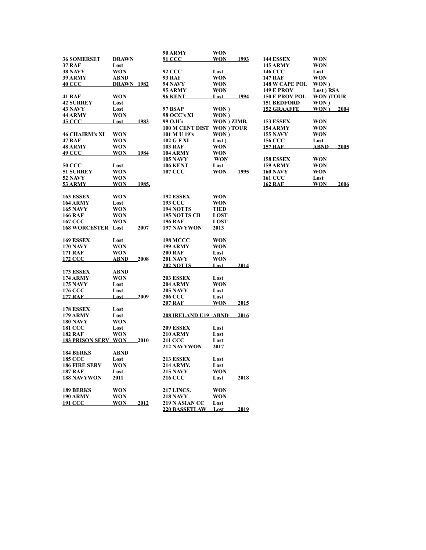|                            |                   |              | 90 ARMY                | WON               |      |                       |                  |      |
|----------------------------|-------------------|--------------|------------------------|-------------------|------|-----------------------|------------------|------|
| <b>36 SOMERSET</b>         | <b>DRAWN</b>      |              | 91 CCC                 | WON               | 1993 | <b>144 ESSEX</b>      | <b>WON</b>       |      |
| <b>37 RAF</b>              | Lost              |              |                        |                   |      | <b>145 ARMY</b>       | <b>WON</b>       |      |
| <b>38 NAVY</b>             | WON               |              | 92 CCC                 | Lost              |      | <b>146 CCC</b>        | Lost             |      |
| <b>39 ARMY</b>             | <b>ABND</b>       |              | 93 RAF                 | WON               |      | <b>147 RAF</b>        | WON              |      |
| <u>40 CCC</u>              | <u>DRAWN 1982</u> |              | 94 NAVY                | WON               |      | <b>148 W CAPE POL</b> | WON)             |      |
|                            |                   |              | 95 ARMY                | <b>WON</b>        |      | <b>149 E PROV</b>     | Lost) RSA        |      |
| <b>41 RAF</b>              | WON               |              | <u>96 KENT</u>         | <u>Lost</u>       | 1994 | <b>150 E PROV POL</b> | <b>WON )TOUR</b> |      |
| <b>42 SURREY</b>           | Lost              |              |                        |                   |      | <b>151 BEDFORD</b>    | WON)             |      |
| <b>43 NAVY</b>             | Lost              |              | <b>97 BSAP</b>         | WON)              |      | <b>152 GRAAFFE</b>    | WON)             | 2004 |
| <b>44 ARMY</b>             | WON               |              | 98 OCC's XI            | WON)              |      |                       |                  |      |
| <b>45 CCC</b>              |                   |              | 99 O.H's               |                   |      | 153 ESSEX             | <b>WON</b>       |      |
|                            | <u>Lost</u>       | <u> 1983</u> |                        | WON ) ZIMB.       |      |                       |                  |      |
|                            |                   |              | <b>100 M CENT DIST</b> | <b>WON</b> ) TOUR |      | <b>154 ARMY</b>       | <b>WON</b>       |      |
| <b>46 CHAIRM's XI</b>      | <b>WON</b>        |              | 101 M U 19's           | WON)              |      | <b>155 NAVY</b>       | <b>WON</b>       |      |
| <b>47 RAF</b>              | <b>WON</b>        |              | 102 G F XI             | Lost)             |      | <b>156 CCC</b>        | Lost             |      |
| <b>48 ARMY</b>             | WON               |              | <b>103 RAF</b>         | WON               |      | <b>157 RAF</b>        | ABND             | 2005 |
| <u>49 CCC</u>              | WON               | <u>1984</u>  | <b>104 ARMY</b>        | WON               |      |                       |                  |      |
|                            |                   |              | <b>105 NAVY</b>        | <b>WON</b>        |      | 158 ESSEX             | <b>WON</b>       |      |
| <b>50 CCC</b>              | Lost              |              | <b>106 KENT</b>        | Lost              |      | <b>159 ARMY</b>       | WON              |      |
| <b>51 SURREY</b>           | WON               |              | 107 CCC                | <b>WON</b>        | 1995 | <b>160 NAVY</b>       | WON              |      |
| <b>52 NAVY</b>             | <b>WON</b>        |              |                        |                   |      | <b>161 CCC</b>        | Lost             |      |
| <u>53 ARMY</u>             | <u>WON</u>        | 1985.        |                        |                   |      | <u>162 RAF</u>        | WON              | 2006 |
|                            |                   |              |                        |                   |      |                       |                  |      |
| 163 ESSEX                  | <b>WON</b>        |              | 192 ESSEX              | <b>WON</b>        |      |                       |                  |      |
| <b>164 ARMY</b>            | Lost              |              | <b>193 CCC</b>         | WON               |      |                       |                  |      |
| <b>165 NAVY</b>            | WON               |              | <b>194 NOTTS</b>       | TIED              |      |                       |                  |      |
| <b>166 RAF</b>             | WON               |              | <b>195 NOTTS CB</b>    | LOST              |      |                       |                  |      |
| <b>167 CCC</b>             | WON               |              | <b>196 RAF</b>         | <b>LOST</b>       |      |                       |                  |      |
| <b>168 WORCESTER Lost</b>  |                   | <b>2007</b>  | <b>197 NAVYWON</b>     | <u> 2013 </u>     |      |                       |                  |      |
|                            |                   |              |                        |                   |      |                       |                  |      |
| 169 ESSEX                  | Lost              |              | <b>198 MCCC</b>        | <b>WON</b>        |      |                       |                  |      |
| <b>170 NAVY</b>            | <b>WON</b>        |              | <b>199 ARMY</b>        | <b>WON</b>        |      |                       |                  |      |
| <b>171 RAF</b>             | WON               |              | <b>200 RAF</b>         | Lost              |      |                       |                  |      |
| <b>172 CCC</b>             | ABND              | 2008         | <b>201 NAVY</b>        | WON               |      |                       |                  |      |
|                            |                   |              | <u> 202 NOTTS</u>      | <b>Lost</b>       | 2014 |                       |                  |      |
| <b>173 ESSEX</b>           | <b>ABND</b>       |              |                        |                   |      |                       |                  |      |
| <b>174 ARMY</b>            | WON               |              | 203 ESSEX              | Lost              |      |                       |                  |      |
| <b>175 NAVY</b>            | Lost              |              | <b>204 ARMY</b>        | <b>WON</b>        |      |                       |                  |      |
| <b>176 CCC</b>             | Lost              |              | 205 NAVY               | Lost              |      |                       |                  |      |
| <u> 177 RAF</u>            | Lost              | 2009         | 206 CCC                | Lost              |      |                       |                  |      |
|                            |                   |              | <b>207 RAF</b>         | <b>WON</b>        | 2015 |                       |                  |      |
| <b>178 ESSEX</b>           | Lost              |              |                        |                   |      |                       |                  |      |
| <b>179 ARMY</b>            | Lost              |              | 208 IRELAND U19 ABND   |                   | 2016 |                       |                  |      |
| <b>180 NAVY</b>            | WON               |              |                        |                   |      |                       |                  |      |
| <b>181 CCC</b>             | Lost              |              | <b>209 ESSEX</b>       | Lost              |      |                       |                  |      |
| <b>182 RAF</b>             | WON               |              | <b>210 ARMY</b>        | Lost              |      |                       |                  |      |
| <b>183 PRISON SERV WON</b> |                   | 2010         | 211 CCC                | Lost              |      |                       |                  |      |
|                            |                   |              | 212 NAVYWON            | 2017              |      |                       |                  |      |
| <b>184 BERKS</b>           | <b>ABND</b>       |              |                        |                   |      |                       |                  |      |
| <b>185 CCC</b>             | Lost              |              | <b>213 ESSEX</b>       | Lost              |      |                       |                  |      |
| <b>186 FIRE SERV</b>       | WON               |              | <b>214 ARMY.</b>       | Lost              |      |                       |                  |      |
| <b>187 RAF</b>             | Lost              |              | 215 NAVY               | WON               |      |                       |                  |      |
| <b>188 NAVYWON</b>         | 2011              |              | <u> 216 CCC</u>        | <u>Lost</u>       | 2018 |                       |                  |      |
|                            |                   |              |                        |                   |      |                       |                  |      |
| <b>189 BERKS</b>           | WON               |              | <b>217 LINCS.</b>      | WON               |      |                       |                  |      |
| <b>190 ARMY</b>            | WON               |              | <b>218 NAVY</b>        | WON               |      |                       |                  |      |
| <u> 191 CCC</u>            | <b>WON</b>        | 2012         | 219 N ASIAN CC         | Lost              |      |                       |                  |      |
|                            |                   |              | 220 BASSETLAW          | Lost              | 2019 |                       |                  |      |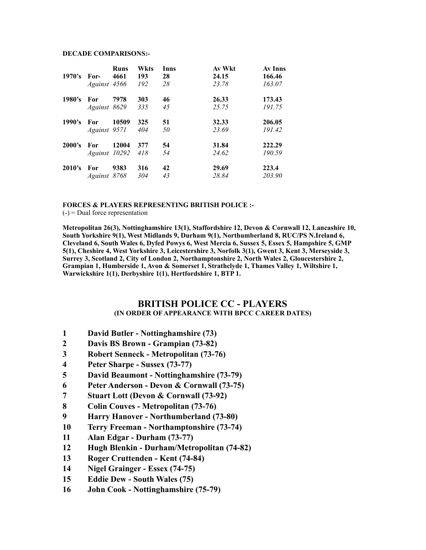#### **DECADE COMPARISONS:-**

|        |               | <b>Runs</b> | Wkts | <b>Inns</b> | Av Wkt | Av Inns |
|--------|---------------|-------------|------|-------------|--------|---------|
| 1970's | For-          | 4661        | 193  | 28          | 24.15  | 166.46  |
|        | Against 4566  |             | 192  | 28          | 23.78  | 163.07  |
| 1980's | For           | 7978        | 303  | 46          | 26.33  | 173.43  |
|        | Against 8629  |             | 335  | 45          | 25.75  | 191.75  |
| 1990's | For           | 10509       | 325  | 51          | 32.33  | 206.05  |
|        | Against 9571  |             | 404  | 50          | 23.69  | 191.42  |
| 2000's | For           | 12004       | 377  | 54          | 31.84  | 222.29  |
|        | Against 10292 |             | 418  | 54          | 24.62  | 190.59  |
| 2010's | For           | 9383        | 316  | 42          | 29.69  | 223.4   |
|        | Against 8768  |             | 304  | 43          | 28.84  | 203.90  |

#### **FORCES & PLAYERS REPRESENTING BRITISH POLICE :-**

 $(-)$  = Dual force representation

**Metropolitan 26(3), Nottinghamshire 13(1), Staffordshire 12, Devon & Cornwall 12, Lancashire 10, South Yorkshire 9(1), West Midlands 9, Durham 9(1), Northumberland 8, RUC/PS N.Ireland 6, Cleveland 6, South Wales 6, Dyfed Powys 6, West Mercia 6, Sussex 5, Essex 5, Hampshire 5, GMP 5(1), Cheshire 4, West Yorkshire 3, Leicestershire 3, Norfolk 3(1), Gwent 3, Kent 3, Merseyside 3, Surrey 3, Scotland 2, City of London 2, Northamptonshire 2, North Wales 2, Gloucestershire 2, Grampian 1, Humberside 1, Avon & Somerset 1, Strathclyde 1, Thames Valley 1, Wiltshire 1, Warwickshire 1(1), Derbyshire 1(1), Hertfordshire 1, BTP 1.** 

#### **BRITISH POLICE CC - PLAYERS (IN ORDER OF APPEARANCE WITH BPCC CAREER DATES)**

- **1 David Butler Nottinghamshire (73)**
- **2 Davis BS Brown Grampian (73-82)**
- **3 Robert Senneck Metropolitan (73-76)**
- **4 Peter Sharpe Sussex (73-77)**
- **5 David Beaumont Nottinghamshire (73-79)**
- **6 Peter Anderson Devon & Cornwall (73-75)**
- **7 Stuart Lott (Devon & Cornwall (73-92)**
- **8 Colin Couves Metropolitan (73-76)**
- **9 Harry Hanover Northumberland (73-80)**
- **10 Terry Freeman Northamptonshire (73-74)**
- **11 Alan Edgar Durham (73-77)**
- **12 Hugh Blenkin Durham/Metropolitan (74-82)**
- **13 Roger Cruttenden Kent (74-84)**
- **14 Nigel Grainger Essex (74-75)**
- **15 Eddie Dew South Wales (75)**
- **16 John Cook Nottinghamshire (75-79)**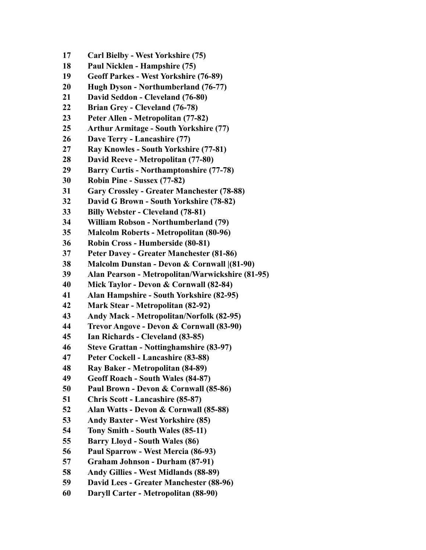- **17 Carl Bielby West Yorkshire (75)**
- **18 Paul Nicklen Hampshire (75)**
- **19 Geoff Parkes West Yorkshire (76-89)**
- **20 Hugh Dyson Northumberland (76-77)**
- **21 David Seddon Cleveland (76-80)**
- **22 Brian Grey Cleveland (76-78)**
- **23 Peter Allen Metropolitan (77-82)**
- **25 Arthur Armitage South Yorkshire (77)**
- **26 Dave Terry Lancashire (77)**
- **27 Ray Knowles South Yorkshire (77-81)**
- **28 David Reeve Metropolitan (77-80)**
- **29 Barry Curtis Northamptonshire (77-78)**
- **30 Robin Pine Sussex (77-82)**
- **31 Gary Crossley Greater Manchester (78-88)**
- **32 David G Brown South Yorkshire (78-82)**
- **33 Billy Webster Cleveland (78-81)**
- **34 William Robson Northumberland (79)**
- **35 Malcolm Roberts Metropolitan (80-96)**
- **36 Robin Cross Humberside (80-81)**
- **37 Peter Davey Greater Manchester (81-86)**
- **38 Malcolm Dunstan Devon & Cornwall |(81-90)**
- **39 Alan Pearson Metropolitan/Warwickshire (81-95)**
- **40 Mick Taylor Devon & Cornwall (82-84)**
- **41 Alan Hampshire South Yorkshire (82-95)**
- **42 Mark Stear Metropolitan (82-92)**
- **43 Andy Mack Metropolitan/Norfolk (82-95)**
- **44 Trevor Angove Devon & Cornwall (83-90)**
- **45 Ian Richards Cleveland (83-85)**
- **46 Steve Grattan Nottinghamshire (83-97)**
- **47 Peter Cockell Lancashire (83-88)**
- **48 Ray Baker Metropolitan (84-89)**
- **49 Geoff Roach South Wales (84-87)**
- **50 Paul Brown Devon & Cornwall (85-86)**
- **51 Chris Scott Lancashire (85-87)**
- **52 Alan Watts Devon & Cornwall (85-88)**
- **53 Andy Baxter West Yorkshire (85)**
- **54 Tony Smith South Wales (85-11)**
- **55 Barry Lloyd South Wales (86)**
- **56 Paul Sparrow West Mercia (86-93)**
- **57 Graham Johnson Durham (87-91)**
- **58 Andy Gillies West Midlands (88-89)**
- **59 David Lees Greater Manchester (88-96)**
- **60 Daryll Carter Metropolitan (88-90)**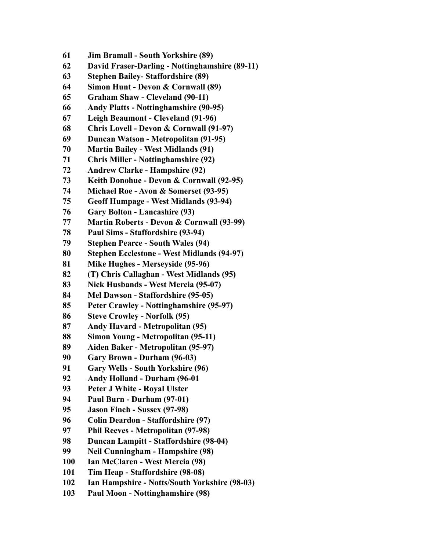- **61 Jim Bramall South Yorkshire (89)**
- **62 David Fraser-Darling Nottinghamshire (89-11)**
- **63 Stephen Bailey- Staffordshire (89)**
- **64 Simon Hunt Devon & Cornwall (89)**
- **65 Graham Shaw Cleveland (90-11)**
- **66 Andy Platts Nottinghamshire (90-95)**
- **67 Leigh Beaumont Cleveland (91-96)**
- **68 Chris Lovell Devon & Cornwall (91-97)**
- **69 Duncan Watson Metropolitan (91-95)**
- **70 Martin Bailey West Midlands (91)**
- **71 Chris Miller Nottinghamshire (92)**
- **72 Andrew Clarke Hampshire (92)**
- **73 Keith Donohue Devon & Cornwall (92-95)**
- **74 Michael Roe Avon & Somerset (93-95)**
- **75 Geoff Humpage West Midlands (93-94)**
- **76 Gary Bolton Lancashire (93)**
- **77 Martin Roberts Devon & Cornwall (93-99)**
- **78 Paul Sims Staffordshire (93-94)**
- **79 Stephen Pearce South Wales (94)**
- **80 Stephen Ecclestone West Midlands (94-97)**
- **81 Mike Hughes Merseyside (95-96)**
- **82 (T) Chris Callaghan West Midlands (95)**
- **83 Nick Husbands West Mercia (95-07)**
- **84 Mel Dawson Staffordshire (95-05)**
- **85 Peter Crawley Nottinghamshire (95-97)**
- **86 Steve Crowley Norfolk (95)**
- **87 Andy Havard Metropolitan (95)**
- **88 Simon Young Metropolitan (95-11)**
- **89 Aiden Baker Metropolitan (95-97)**
- **90 Gary Brown Durham (96-03)**
- **91 Gary Wells South Yorkshire (96)**
- **92 Andy Holland Durham (96-01**
- **93 Peter J White Royal Ulster**
- **94 Paul Burn Durham (97-01)**
- **95 Jason Finch Sussex (97-98)**
- **96 Colin Deardon Staffordshire (97)**
- **97 Phil Reeves Metropolitan (97-98)**
- **98 Duncan Lampitt Staffordshire (98-04)**
- **99 Neil Cunningham Hampshire (98)**
- **100 Ian McClaren West Mercia (98)**
- **101 Tim Heap Staffordshire (98-08)**
- **102 Ian Hampshire Notts/South Yorkshire (98-03)**
- **103 Paul Moon Nottinghamshire (98)**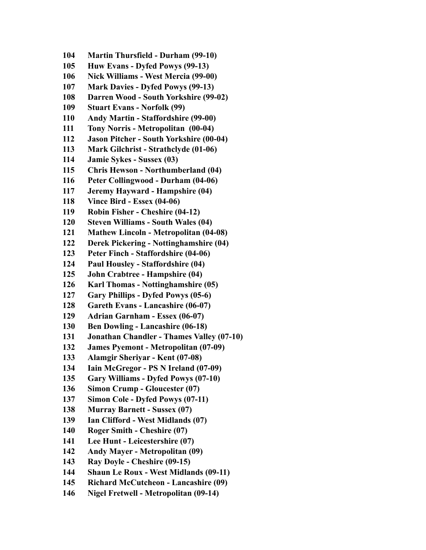**104 Martin Thursfield - Durham (99-10) 105 Huw Evans - Dyfed Powys (99-13) 106 Nick Williams - West Mercia (99-00) 107 Mark Davies - Dyfed Powys (99-13) 108 Darren Wood - South Yorkshire (99-02) 109 Stuart Evans - Norfolk (99) 110 Andy Martin - Staffordshire (99-00) 111 Tony Norris - Metropolitan (00-04) 112 Jason Pitcher - South Yorkshire (00-04) 113 Mark Gilchrist - Strathclyde (01-06) 114 Jamie Sykes - Sussex (03) 115 Chris Hewson - Northumberland (04) 116 Peter Collingwood - Durham (04-06) 117 Jeremy Hayward - Hampshire (04) 118 Vince Bird - Essex (04-06) 119 Robin Fisher - Cheshire (04-12) 120 Steven Williams - South Wales (04) 121 Mathew Lincoln - Metropolitan (04-08) 122 Derek Pickering - Nottinghamshire (04) 123 Peter Finch - Staffordshire (04-06) 124 Paul Housley - Staffordshire (04) 125 John Crabtree - Hampshire (04) 126 Karl Thomas - Nottinghamshire (05) 127 Gary Phillips - Dyfed Powys (05-6) 128 Gareth Evans - Lancashire (06-07) 129 Adrian Garnham - Essex (06-07) 130 Ben Dowling - Lancashire (06-18) 131 Jonathan Chandler - Thames Valley (07-10) 132 James Pyemont - Metropolitan (07-09) 133 Alamgir Sheriyar - Kent (07-08) 134 Iain McGregor - PS N Ireland (07-09) 135 Gary Williams - Dyfed Powys (07-10) 136 Simon Crump - Gloucester (07) 137 Simon Cole - Dyfed Powys (07-11) 138 Murray Barnett - Sussex (07) 139 Ian Clifford - West Midlands (07) 140 Roger Smith - Cheshire (07) 141 Lee Hunt - Leicestershire (07) 142 Andy Mayer - Metropolitan (09) 143 Ray Doyle - Cheshire (09-15) 144 Shaun Le Roux - West Midlands (09-11) 145 Richard McCutcheon - Lancashire (09) 146 Nigel Fretwell - Metropolitan (09-14)**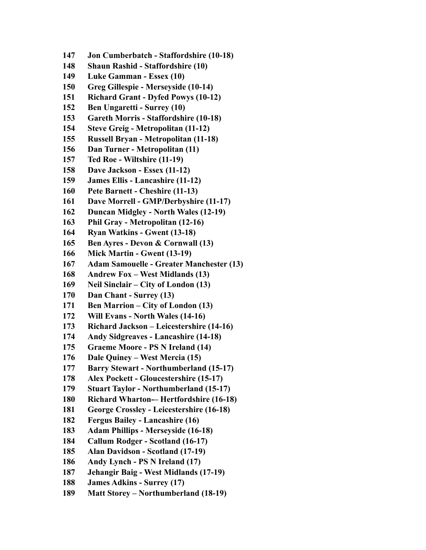- **147 Jon Cumberbatch Staffordshire (10-18)**
- **148 Shaun Rashid Staffordshire (10)**
- **149 Luke Gamman Essex (10)**
- **150 Greg Gillespie Merseyside (10-14)**
- **151 Richard Grant Dyfed Powys (10-12)**
- **152 Ben Ungaretti Surrey (10)**
- **153 Gareth Morris Staffordshire (10-18)**
- **154 Steve Greig Metropolitan (11-12)**
- **155 Russell Bryan Metropolitan (11-18)**
- **156 Dan Turner Metropolitan (11)**
- **157 Ted Roe Wiltshire (11-19)**
- **158 Dave Jackson Essex (11-12)**
- **159 James Ellis Lancashire (11-12)**
- **160 Pete Barnett Cheshire (11-13)**
- **161 Dave Morrell GMP/Derbyshire (11-17)**
- **162 Duncan Midgley North Wales (12-19)**
- **163 Phil Gray Metropolitan (12-16)**
- **164 Ryan Watkins Gwent (13-18)**
- **165 Ben Ayres Devon & Cornwall (13)**
- **166 Mick Martin Gwent (13-19)**
- **167 Adam Samouelle Greater Manchester (13)**
- **168 Andrew Fox West Midlands (13)**
- **169 Neil Sinclair City of London (13)**
- **170 Dan Chant Surrey (13)**
- **171 Ben Marrion City of London (13)**
- **172 Will Evans North Wales (14-16)**
- **173 Richard Jackson Leicestershire (14-16)**
- **174 Andy Sidgreaves Lancashire (14-18)**
- **175 Graeme Moore PS N Ireland (14)**
- **176 Dale Quiney West Mercia (15)**
- **177 Barry Stewart Northumberland (15-17)**
- **178 Alex Pockett Gloucestershire (15-17)**
- **179 Stuart Taylor Northumberland (15-17)**
- **180 Richard Wharton-– Hertfordshire (16-18)**
- **181 George Crossley Leicestershire (16-18)**
- **182 Fergus Bailey Lancashire (16)**
- **183 Adam Phillips Merseyside (16-18)**
- **184 Callum Rodger Scotland (16-17)**
- **185 Alan Davidson Scotland (17-19)**
- **186 Andy Lynch PS N Ireland (17)**
- **187 Jehangir Baig West Midlands (17-19)**
- **188 James Adkins Surrey (17)**
- **189 Matt Storey Northumberland (18-19)**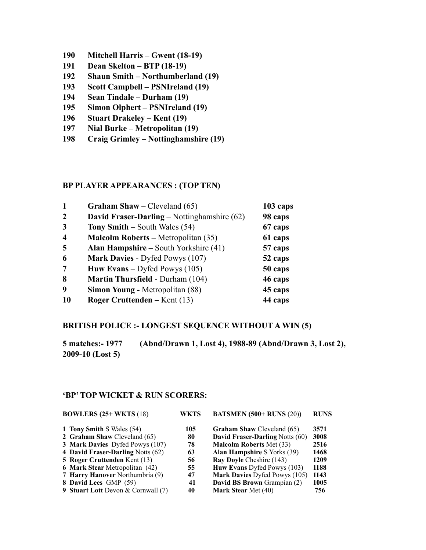- **190 Mitchell Harris Gwent (18-19)**
- **191 Dean Skelton BTP (18-19)**
- **192 Shaun Smith Northumberland (19)**
- **193 Scott Campbell PSNIreland (19)**
- **194 Sean Tindale Durham (19)**
- **195 Simon Olphert PSNIreland (19)**
- **196 Stuart Drakeley Kent (19)**
- **197 Nial Burke Metropolitan (19)**
- **198 Craig Grimley Nottinghamshire (19)**

#### **BP PLAYER APPEARANCES : (TOP TEN)**

| -1               | <b>Graham Shaw</b> – Cleveland $(65)$        | 103 caps |
|------------------|----------------------------------------------|----------|
| 2                | David Fraser-Darling – Nottinghamshire (62)  | 98 caps  |
| 3                | <b>Tony Smith</b> – South Wales $(54)$       | 67 caps  |
| $\boldsymbol{4}$ | <b>Malcolm Roberts – Metropolitan (35)</b>   | 61 caps  |
| 5                | <b>Alan Hampshire – South Yorkshire (41)</b> | 57 caps  |
| 6                | Mark Davies - Dyfed Powys (107)              | 52 caps  |
| 7                | <b>Huw Evans</b> – Dyfed Powys $(105)$       | 50 caps  |
| 8                | <b>Martin Thursfield - Durham (104)</b>      | 46 caps  |
| 9                | <b>Simon Young - Metropolitan (88)</b>       | 45 caps  |
| <b>10</b>        | <b>Roger Cruttenden</b> – Kent $(13)$        | 44 caps  |

### **BRITISH POLICE :- LONGEST SEQUENCE WITHOUT A WIN (5)**

**5 matches:- 1977 (Abnd/Drawn 1, Lost 4), 1988-89 (Abnd/Drawn 3, Lost 2), 2009-10 (Lost 5)**

#### **'BP' TOP WICKET & RUN SCORERS:**

| <b>BOWLERS</b> $(25+WKTS)$ (18)               | WKTS | <b>BATSMEN</b> (500+ RUNS (20))        | <b>RUNS</b> |
|-----------------------------------------------|------|----------------------------------------|-------------|
| 1 Tony Smith S Wales (54)                     | 105  | <b>Graham Shaw Cleveland (65)</b>      | 3571        |
| 2 Graham Shaw Cleveland (65)                  | 80   | <b>David Fraser-Darling Notts (60)</b> | 3008        |
| 3 Mark Davies Dyfed Powys (107)               | 78   | <b>Malcolm Roberts Met (33)</b>        | 2516        |
| 4 David Fraser-Darling Notts (62)             | 63   | <b>Alan Hampshire S Yorks (39)</b>     | 1468        |
| <b>5 Roger Cruttenden Kent (13)</b>           | 56   | Ray Doyle Cheshire (143)               | 1209        |
| 6 Mark Stear Metropolitan (42)                | 55   | Huw Evans Dyfed Powys (103)            | 1188        |
| 7 Harry Hanover Northumbria (9)               | 47   | Mark Davies Dyfed Powys (105)          | 1143        |
| 8 David Lees GMP (59)                         | 41   | David BS Brown Grampian (2)            | 1005        |
| <b>9 Stuart Lott Devon &amp; Cornwall (7)</b> | 40   | <b>Mark Stear Met (40)</b>             | 756         |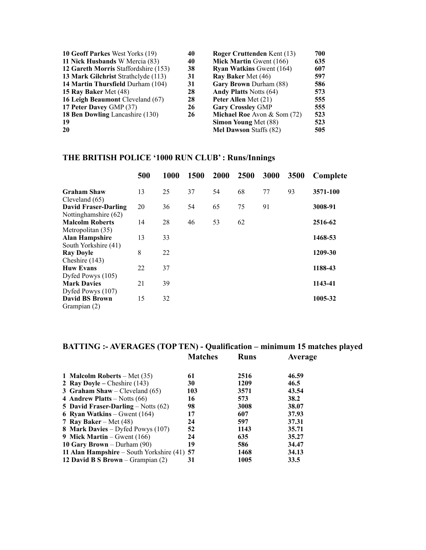| 10 Geoff Parkes West Yorks (19)      | 40 | <b>Roger Cruttenden Kent (13)</b> | 700 |
|--------------------------------------|----|-----------------------------------|-----|
| 11 Nick Husbands W Mercia (83)       | 40 | <b>Mick Martin Gwent (166)</b>    | 635 |
| 12 Gareth Morris Staffordshire (153) | 38 | <b>Ryan Watkins Gwent (164)</b>   | 607 |
| 13 Mark Gilchrist Strathclyde (113)  | 31 | Ray Baker Met (46)                | 597 |
| 14 Martin Thursfield Durham (104)    | 31 | Gary Brown Durham (88)            | 586 |
| 15 Ray Baker Met (48)                | 28 | <b>Andy Platts Notts (64)</b>     | 573 |
| 16 Leigh Beaumont Cleveland (67)     | 28 | Peter Allen Met (21)              | 555 |
| 17 Peter Davey GMP (37)              | 26 | <b>Gary Crossley GMP</b>          | 555 |
| 18 Ben Dowling Lancashire (130)      | 26 | Michael Roe Avon & Som (72)       | 523 |
| -19                                  |    | Simon Young Met (88)              | 523 |
| 20                                   |    | <b>Mel Dawson Staffs (82)</b>     | 505 |

# **THE BRITISH POLICE '1000 RUN CLUB' : Runs/Innings**

|                                                            | 500 | 1000 | 1500 | 2000 | 2500 | 3000 | 3500 | Complete |
|------------------------------------------------------------|-----|------|------|------|------|------|------|----------|
| <b>Graham Shaw</b>                                         | 13  | 25   | 37   | 54   | 68   | 77   | 93   | 3571-100 |
| Cleveland $(65)$<br>David Fraser-Darling                   | 20  | 36   | 54   | 65   | 75   | 91   |      | 3008-91  |
| Nottinghamshire (62)<br><b>Malcolm Roberts</b>             | 14  | 28   | 46   | 53   | 62   |      |      | 2516-62  |
| Metropolitan (35)<br><b>Alan Hampshire</b>                 | 13  | 33   |      |      |      |      |      | 1468-53  |
| South Yorkshire (41)<br><b>Ray Doyle</b>                   | 8   | 22   |      |      |      |      |      | 1209-30  |
| Cheshire (143)<br><b>Huw Evans</b>                         | 22  | 37   |      |      |      |      |      | 1188-43  |
| Dyfed Powys (105)<br><b>Mark Davies</b>                    | 21  | 39   |      |      |      |      |      | 1143-41  |
| Dyfed Powys (107)<br><b>David BS Brown</b><br>Grampian (2) | 15  | 32   |      |      |      |      |      | 1005-32  |

# **BATTING :- AVERAGES (TOP TEN) - Qualification – minimum 15 matches played Matches Runs Average**

| 1 Malcolm Roberts – Met $(35)$                | 61  | 2516 | 46.59 |
|-----------------------------------------------|-----|------|-------|
| 2 Ray Doyle – Cheshire $(143)$                | 30  | 1209 | 46.5  |
| <b>3 Graham Shaw</b> – Cleveland $(65)$       | 103 | 3571 | 43.54 |
| 4 Andrew Platts – Notts $(66)$                | 16  | 573  | 38.2  |
| <b>5 David Fraser-Darling</b> – Notts $(62)$  | 98  | 3008 | 38.07 |
| <b>6 Ryan Watkins</b> – Gwent $(164)$         | 17  | 607  | 37.93 |
| 7 Ray Baker – Met $(48)$                      | 24  | 597  | 37.31 |
| 8 Mark Davies – Dyfed Powys (107)             | 52  | 1143 | 35.71 |
| 9 Mick Martin – Gwent $(166)$                 | 24  | 635  | 35.27 |
| 10 Gary Brown – Durham $(90)$                 | 19  | 586  | 34.47 |
| 11 Alan Hampshire – South Yorkshire $(41)$ 57 |     | 1468 | 34.13 |
| 12 David B S Brown – Grampian $(2)$           | 31  | 1005 | 33.5  |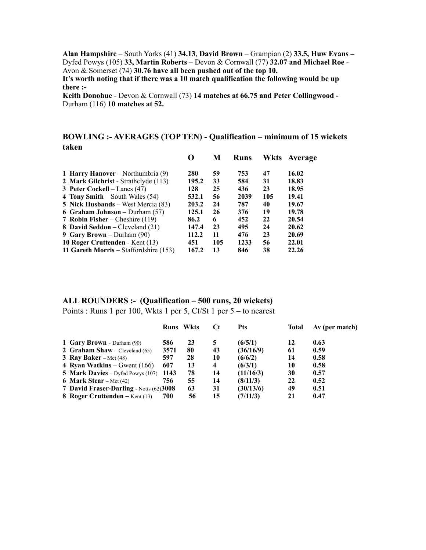**Alan Hampshire** – South Yorks (41) **34.13**, **David Brown** – Grampian (2) **33.5, Huw Evans –**  Dyfed Powys (105) **33, Martin Roberts** – Devon & Cornwall (77) **32.07 and Michael Roe** - Avon & Somerset (74) **30.76 have all been pushed out of the top 10.** 

**It's worth noting that if there was a 10 match qualification the following would be up there :-** 

**Keith Donohue** - Devon & Cornwall (73) **14 matches at 66.75 and Peter Collingwood -**  Durham (116) **10 matches at 52.** 

# **BOWLING :- AVERAGES (TOP TEN) - Qualification – minimum of 15 wickets taken**

|                                         |       | M   | <b>Runs</b> | Wkts | Average |
|-----------------------------------------|-------|-----|-------------|------|---------|
| 1 Harry Hanover – Northumbria $(9)$     | 280   | 59  | 753         | 47   | 16.02   |
| 2 Mark Gilchrist - Strathclyde (113)    | 195.2 | 33  | 584         | 31   | 18.83   |
| 3 Peter Cockell – Lancs $(47)$          | 128   | 25  | 436         | 23   | 18.95   |
| 4 Tony Smith – South Wales $(54)$       | 532.1 | 56  | 2039        | 105  | 19.41   |
| 5 Nick Husbands – West Mercia (83)      | 203.2 | 24  | 787         | 40   | 19.67   |
| <b>6 Graham Johnson</b> – Durham $(57)$ | 125.1 | 26  | 376         | 19   | 19.78   |
| 7 Robin Fisher – Cheshire $(119)$       | 86.2  | 6   | 452         | 22   | 20.54   |
| 8 David Seddon – Cleveland (21)         | 147.4 | 23  | 495         | 24   | 20.62   |
| 9 Gary Brown – Durham $(90)$            | 112.2 | 11  | 476         | 23   | 20.69   |
| 10 Roger Cruttenden - Kent (13)         | 451   | 105 | 1233        | 56   | 22.01   |
| 11 Gareth Morris – Staffordshire (153)  | 167.2 | 13  | 846         | 38   | 22.26   |

#### **ALL ROUNDERS :- (Qualification – 500 runs, 20 wickets)**

Points : Runs 1 per 100, Wkts 1 per 5, Ct/St 1 per 5 – to nearest

|                                            |      | <b>Runs</b> Wkts | Ct                      | <b>Pts</b> | Total | Av (per match) |
|--------------------------------------------|------|------------------|-------------------------|------------|-------|----------------|
| 1 Gary Brown - Durham (90)                 | 586  | 23               | 5                       | (6/5/1)    | 12    | 0.63           |
| <b>2 Graham Shaw</b> – Cleveland $(65)$    | 3571 | 80               | 43                      | (36/16/9)  | 61    | 0.59           |
| 3 Ray Baker – Met $(48)$                   | 597  | 28               | 10                      | (6/6/2)    | 14    | 0.58           |
| 4 Ryan Watkins – Gwent $(166)$             | 607  | 13               | $\overline{\mathbf{4}}$ | (6/3/1)    | 10    | 0.58           |
| <b>5 Mark Davies</b> – Dyfed Powys $(107)$ | 1143 | 78               | 14                      | (11/16/3)  | 30    | 0.57           |
| <b>6 Mark Stear</b> – Met $(42)$           | 756  | 55               | 14                      | (8/11/3)   | 22    | 0.52           |
| 7 David Fraser-Darling - Notts (62)3008    |      | 63               | 31                      | (30/13/6)  | 49    | 0.51           |
| 8 Roger Cruttenden – Kent $(13)$           | 700  | 56               | 15                      | (7/11/3)   | 21    | 0.47           |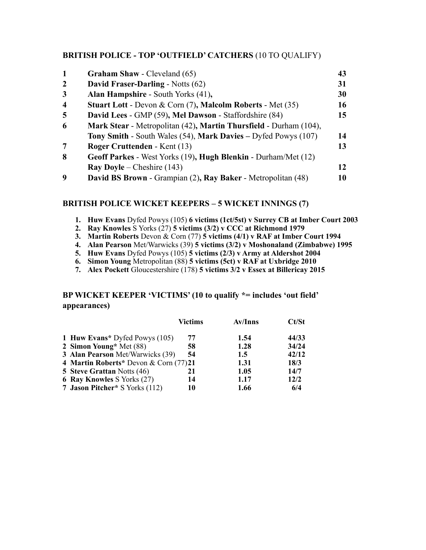# **BRITISH POLICE - TOP 'OUTFIELD' CATCHERS** (10 TO QUALIFY)

| 1                       | <b>Graham Shaw - Cleveland (65)</b>                                   | 43 |
|-------------------------|-----------------------------------------------------------------------|----|
| $\overline{2}$          | <b>David Fraser-Darling - Notts (62)</b>                              | 31 |
| 3                       | Alan Hampshire - South Yorks (41),                                    | 30 |
| $\overline{\mathbf{4}}$ | <b>Stuart Lott - Devon &amp; Corn (7), Malcolm Roberts - Met (35)</b> | 16 |
| 5                       | David Lees - GMP (59), Mel Dawson - Staffordshire (84)                | 15 |
| 6                       | Mark Stear - Metropolitan (42), Martin Thursfield - Durham (104),     |    |
|                         | Tony Smith - South Wales (54), Mark Davies - Dyfed Powys (107)        | 14 |
| 7                       | Roger Cruttenden - Kent (13)                                          | 13 |
| 8                       | Geoff Parkes - West Yorks (19), Hugh Blenkin - Durham/Met (12)        |    |
|                         | <b>Ray Doyle</b> – Cheshire $(143)$                                   | 12 |
| 9                       | David BS Brown - Grampian (2), Ray Baker - Metropolitan (48)          | 10 |

# **BRITISH POLICE WICKET KEEPERS – 5 WICKET INNINGS (7)**

- **1. Huw Evans** Dyfed Powys (105) **6 victims (1ct/5st) v Surrey CB at Imber Court 2003**
- **2. Ray Knowles** S Yorks (27) **5 victims (3/2) v CCC at Richmond 1979**
- **3. Martin Roberts** Devon & Corn (77) **5 victims (4/1) v RAF at Imber Court 1994**
- **4. Alan Pearson** Met/Warwicks (39) **5 victims (3/2) v Moshonaland (Zimbabwe) 1995**
- **5. Huw Evans** Dyfed Powys (105) **5 victims (2/3) v Army at Aldershot 2004**
- **6. Simon Young** Metropolitan (88) **5 victims (5ct) v RAF at Uxbridge 2010**
- **7. Alex Pockett** Gloucestershire (178) **5 victims 3/2 v Essex at Billericay 2015**

# **BP WICKET KEEPER 'VICTIMS' (10 to qualify \*= includes 'out field' appearances)**

|                                       | <b>Victims</b> | <b>Av/Inns</b> | Ct/St |
|---------------------------------------|----------------|----------------|-------|
| 1 Huw Evans* Dyfed Powys (105)        | 77             | 1.54           | 44/33 |
| 2 Simon Young* Met (88)               | 58             | 1.28           | 34/24 |
| 3 Alan Pearson Met/Warwicks (39)      | 54             | 1.5            | 42/12 |
| 4 Martin Roberts* Devon & Corn (77)21 |                | 1.31           | 18/3  |
| <b>5 Steve Grattan Notts (46)</b>     | 21             | 1.05           | 14/7  |
| <b>6 Ray Knowles S Yorks (27)</b>     | 14             | 1.17           | 12/2  |
| 7 Jason Pitcher* S Yorks (112)        | 10             | 1.66           | 6/4   |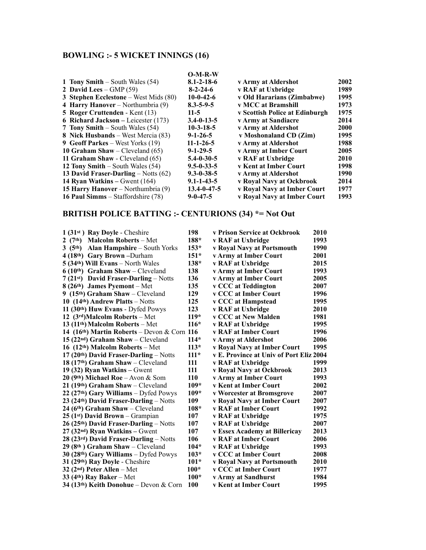# **BOWLING :- 5 WICKET INNINGS (16)**

|                                              | $O-M-R-W$           |                                |             |
|----------------------------------------------|---------------------|--------------------------------|-------------|
| 1 Tony Smith – South Wales $(54)$            | $8.1 - 2 - 18 - 6$  | v Army at Aldershot            | 2002        |
| 2 David Lees – $GMP(59)$                     | $8 - 2 - 24 - 6$    | v RAF at Uxbridge              | 1989        |
| 3 Stephen Ecclestone – West Mids $(80)$      | $10-0-42-6$         | v Old Hararians (Zimbabwe)     | 1995        |
| 4 Harry Hanover – Northumbria $(9)$          | $8.3 - 5 - 9 - 5$   | v MCC at Bramshill             | 1973        |
| <b>5 Roger Cruttenden</b> - Kent (13)        | $11-5$              | v Scottish Police at Edinburgh | 1975        |
| <b>6 Richard Jackson</b> – Leicester $(173)$ | $3.4 - 0 - 13 - 5$  | v Army at Sandiacre            | 2014        |
| 7 Tony Smith – South Wales (54)              | $10-3-18-5$         | v Army at Aldershot            | <b>2000</b> |
| 8 Nick Husbands – West Mercia (83)           | $9 - 1 - 26 - 5$    | v Moshonaland CD (Zim)         | 1995        |
| 9 Geoff Parkes – West Yorks (19)             | $11 - 1 - 26 - 5$   | v Army at Aldershot            | 1988        |
| 10 Graham Shaw – Cleveland $(65)$            | $9 - 1 - 29 - 5$    | v Army at Imber Court          | 2005        |
| 11 Graham Shaw - Cleveland (65)              | $5.4 - 0.30 - 5$    | v RAF at Uxbridge              | <b>2010</b> |
| 12 Tony Smith – South Wales $(54)$           | $9.5 - 0 - 33 - 5$  | <b>v Kent at Imber Court</b>   | 1998        |
| 13 David Fraser-Darling – Notts $(62)$       | $9.3 - 0.38 - 5$    | v Army at Aldershot            | 1990        |
| 14 Ryan Watkins – Gwent $(164)$              | $9.1 - 1 - 43 - 5$  | v Royal Navy at Ockbrook       | 2014        |
| <b>15 Harry Hanover</b> – Northumbria (9)    | $13.4 - 0 - 47 - 5$ | v Royal Navy at Imber Court    | 1977        |
| 16 Paul Simms – Staffordshire (78)           | $9 - 0 - 47 - 5$    | v Royal Navy at Imber Court    | 1993        |

# **BRITISH POLICE BATTING :- CENTURIONS (34) \*= Not Out**

| $1(31st)$ Ray Doyle - Cheshire                           | 198        | v Prison Service at Ockbrook            | 2010 |
|----------------------------------------------------------|------------|-----------------------------------------|------|
| <b>Malcolm Roberts – Met</b><br>(7 <sup>th</sup> )       | 188*       | v RAF at Uxbridge                       | 1993 |
| <b>Alan Hampshire – South Yorks</b><br>3 $(5th)$         | $153*$     | v Royal Navy at Portsmouth              | 1990 |
| 4 (18th) Gary Brown - Durham                             | $151*$     | v Army at Imber Court                   | 2001 |
| $5(34th)$ Will Evans – North Wales                       | $138*$     | v RAF at Uxbridge                       | 2015 |
| $6(10th)$ Graham Shaw – Cleveland                        | 138        | v Army at Imber Court                   | 1993 |
| 7 (21st) David Fraser-Darling - Notts                    | 136        | v Army at Imber Court                   | 2005 |
| $8(26th)$ James Pyemont – Met                            | 135        | v CCC at Teddington                     | 2007 |
| 9 $(15th)$ Graham Shaw – Cleveland                       | 129        | v CCC at Imber Court                    | 1996 |
| 10 $(14th)$ Andrew Platts – Notts                        | 125        | v CCC at Hampstead                      | 1995 |
| 11 (30 <sup>th</sup> ) Huw Evans - Dyfed Powys           | 123        | v RAF at Uxbridge                       | 2010 |
| 12 $(3rd)$ Malcolm Roberts – Met                         | $119*$     | v CCC at New Malden                     | 1981 |
| 13 $(11th)$ Malcolm Roberts – Met                        | $116*$     | v RAF at Uxbridge                       | 1995 |
| 14 (16 <sup>th</sup> ) Martin Roberts – Devon & Corn 116 |            | v RAF at Imber Court                    | 1996 |
| $15(22nd)$ Graham Shaw - Cleveland                       | $114*$     | v Army at Aldershot                     | 2006 |
| 16 $(12th)$ Malcolm Roberts – Met                        | $113*$     | v Royal Navy at Imber Court             | 1995 |
| $17(20th)$ David Fraser-Darling – Notts                  | $111*$     | v E. Province at Univ of Port Eliz 2004 |      |
| 18 $(17th)$ Graham Shaw – Cleveland                      | 111        | v RAF at Uxbridge                       | 1999 |
| 19 (32) Ryan Watkins – Gwent                             | 111        | v Royal Navy at Ockbrook                | 2013 |
| 20 (9th) Michael Roe – Avon & Som                        | 110        | v Army at Imber Court                   | 1993 |
| 21 (19th) Graham Shaw - Cleveland                        | $109*$     | v Kent at Imber Court                   | 2002 |
| $22(27th)$ Gary Williams – Dyfed Powys                   | $109*$     | v Worcester at Bromsgrove               | 2007 |
| $23(24th)$ David Fraser-Darling – Notts                  | 109        | v Royal Navy at Imber Court             | 2007 |
| $24$ (6 <sup>th</sup> ) Graham Shaw – Cleveland          | $108*$     | <b>v RAF at Imber Court</b>             | 1992 |
| $25$ (1 <sup>st</sup> ) David Brown – Grampian           | 107        | v RAF at Uxbridge                       | 1975 |
| $26(25th)$ David Fraser-Darling – Notts                  | 107        | v RAF at Uxbridge                       | 2007 |
| $27$ (32 <sup>nd</sup> ) Ryan Watkins – Gwent            | 107        | v Essex Academy at Billericay           | 2013 |
| 28 (23rd) David Fraser-Darling – Notts                   | 106        | v RAF at Imber Court                    | 2006 |
| $29(8th)$ Graham Shaw – Cleveland                        | $104*$     | v RAF at Uxbridge                       | 1993 |
| $30(28th)$ Gary Williams – Dyfed Powys                   | $103*$     | v CCC at Imber Court                    | 2008 |
| 31 (29th) Ray Doyle - Cheshire                           | $101*$     | v Royal Navy at Portsmouth              | 2010 |
| 32 $(2nd)$ Peter Allen – Met                             | $100*$     | <b>v CCC at Imber Court</b>             | 1977 |
| 33 $(4th)$ Ray Baker – Met                               | $100*$     | v Army at Sandhurst                     | 1984 |
| 34 (13th) Keith Donohue – Devon & Corn                   | <b>100</b> | v Kent at Imber Court                   | 1995 |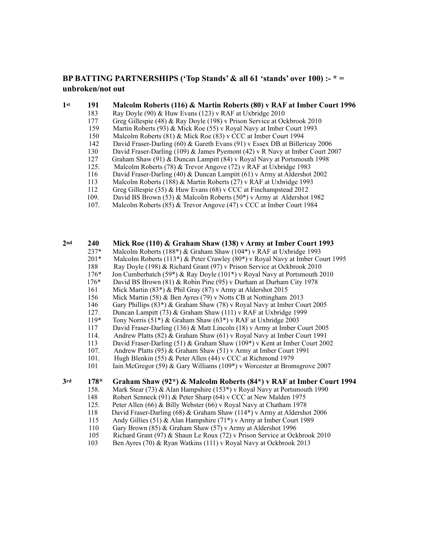## **BP BATTING PARTNERSHIPS ('Top Stands' & all 61 'stands' over 100) :- \* = unbroken/not out**

#### **1st 191 Malcolm Roberts (116) & Martin Roberts (80) v RAF at Imber Court 1996**

- 183 Ray Doyle (90) & Huw Evans (123) v RAF at Uxbridge 2010
- 177 Greg Gillespie (48) & Ray Doyle (198) v Prison Service at Ockbrook 2010
- 159 Martin Roberts (93) & Mick Roe (55) v Royal Navy at Imber Court 1993
- 150 Malcolm Roberts (81) & Mick Roe (83) v CCC at Imber Court 1994
- 142 David Fraser-Darling (60) & Gareth Evans (91) v Essex DB at Billericay 2006
- 130 David Fraser-Darling (109) & James Pyemont (42) v R Navy at Imber Court 2007
- 127 Graham Shaw (91) & Duncan Lampitt (84) v Royal Navy at Portsmouth 1998
- 125. Malcolm Roberts (78) & Trevor Angove (72) v RAF at Uxbridge 1983
- 116 David Fraser-Darling (40) & Duncan Lampitt (61) v Army at Aldershot 2002
- 113 Malcolm Roberts (188) & Martin Roberts (27) v RAF at Uxbridge 1993
- 
- 112 Greg Gillespie (35) & Huw Evans (68) v CCC at Finchampstead 2012<br>109. David BS Brown (53) & Malcolm Roberts (50\*) v Army at Aldershot David BS Brown (53) & Malcolm Roberts (50\*) v Army at Aldershot 1982
- 107. Malcolm Roberts (85) & Trevor Angove (47) v CCC at Imber Court 1984

# 2nd **240** Mick Roe (110) & Graham Shaw (138) v Army at Imber Court 1993<br>237\* Malcolm Roberts (188\*) & Graham Shaw (104\*) v RAF at Uxbridge 1993

- Malcolm Roberts (188\*) & Graham Shaw (104\*) v RAF at Uxbridge 1993
- 201\* Malcolm Roberts (113\*) & Peter Crawley (80\*) v Royal Navy at Imber Court 1995
- 
- 188 Ray Doyle (198) & Richard Grant (97) v Prison Service at Ockbrook 2010<br>176<sup>\*</sup> Jon Cumberbatch (59<sup>\*</sup>) & Ray Doyle (101<sup>\*</sup>) v Royal Navy at Portsmouth 2 Jon Cumberbatch (59\*) & Ray Doyle (101\*) v Royal Navy at Portsmouth 2010
- 176\* David BS Brown (81) & Robin Pine (95) v Durham at Durham City 1978
- 
- 161 Mick Martin (83\*) & Phil Gray (87) v Army at Aldershot 2015<br>156 Mick Martin (58) & Ben Avres (79) v Notts CB at Nottingham Mick Martin (58) & Ben Ayres (79) v Notts CB at Nottingham 2013
- 146 Gary Phillips (83\*) & Graham Shaw (78) v Royal Navy at Imber Court 2005
- 
- 127. Duncan Lampitt (73) & Graham Shaw (111) v RAF at Uxbridge 1999<br>119\* Tony Norris (51\*) & Graham Shaw (63\*) v RAF at Uxbridge 2003
- Tony Norris (51\*) & Graham Shaw (63\*) v RAF at Uxbridge 2003
- 117 David Fraser-Darling (136) & Matt Lincoln (18) v Army at Imber Court 2005
- 114. Andrew Platts (82) & Graham Shaw (61) v Royal Navy at Imber Court 1991<br>113 David Fraser-Darling (51) & Graham Shaw (109\*) v Kent at Imber Court 200
- David Fraser-Darling (51) & Graham Shaw (109\*) v Kent at Imber Court 2002
- 107. Andrew Platts (95) & Graham Shaw (51) v Army at Imber Court 1991
- 
- 101. Hugh Blenkin (55) & Peter Allen (44) v CCC at Richmond 1979<br>101 Iain McGregor (59) & Gary Williams (109\*) v Worcester at Bron 101 Iain McGregor (59) & Gary Williams (109\*) v Worcester at Bromsgrove 2007

#### **3rd 178\* Graham Shaw (92\*) & Malcolm Roberts (84\*) v RAF at Imber Court 1994**

- 158. Mark Stear (73) & Alan Hampshire (153\*) v Royal Navy at Portsmouth 1990<br>148 Robert Senneck (91) & Peter Sharp (64) v CCC at New Malden 1975
- Robert Senneck (91) & Peter Sharp (64) v CCC at New Malden 1975
- 125. Peter Allen (66) & Billy Webster (66) v Royal Navy at Chatham 1978
- 
- 118 David Fraser-Darling (68) & Graham Shaw (114<sup>\*</sup>) v Army at Aldershot 2006<br>115 Andy Gillies (51) & Alan Hampshire (71<sup>\*</sup>) v Army at Imber Court 1989 Andy Gillies (51) & Alan Hampshire (71\*) v Army at Imber Court 1989
- 
- 110 Gary Brown (85) & Graham Shaw (57) v Army at Aldershot 1996<br>105 Richard Grant (97) & Shaun Le Roux (72) v Prison Service at Ock
- 105 Richard Grant (97) & Shaun Le Roux (72) v Prison Service at Ockbrook 2010<br>103 Ben Ayres (70) & Ryan Watkins (111) v Royal Navy at Ockbrook 2013 Ben Ayres (70) & Ryan Watkins (111) v Royal Navy at Ockbrook 2013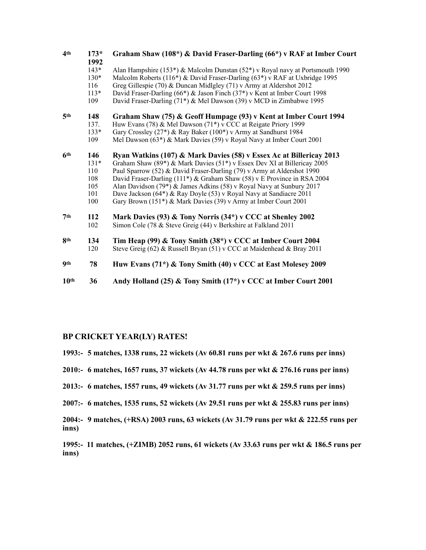| 4 <sup>th</sup>  | $173*$<br>1992 | Graham Shaw (108*) & David Fraser-Darling (66*) v RAF at Imber Court          |
|------------------|----------------|-------------------------------------------------------------------------------|
|                  | $143*$         | Alan Hampshire (153*) & Malcolm Dunstan (52*) v Royal navy at Portsmouth 1990 |
|                  | $130*$         | Malcolm Roberts (116*) & David Fraser-Darling (63*) v RAF at Uxbridge 1995    |
|                  | 116            | Greg Gillespie (70) & Duncan Midlgley (71) v Army at Aldershot 2012           |
|                  | $113*$         | David Fraser-Darling (66*) & Jason Finch (37*) v Kent at Imber Court 1998     |
|                  | 109            | David Fraser-Darling (71*) & Mel Dawson (39) v MCD in Zimbabwe 1995           |
| 5 <sup>th</sup>  | 148            | Graham Shaw (75) & Geoff Humpage (93) v Kent at Imber Court 1994              |
|                  | 137.           | Huw Evans (78) & Mel Dawson (71*) v CCC at Reigate Priory 1999                |
|                  | $133*$         | Gary Crossley (27*) & Ray Baker (100*) v Army at Sandhurst 1984               |
|                  | 109            | Mel Dawson (63*) & Mark Davies (59) v Royal Navy at Imber Court 2001          |
| 6 <sup>th</sup>  | 146            | Ryan Watkins (107) & Mark Davies (58) v Essex Ac at Billericay 2013           |
|                  | $131*$         | Graham Shaw (89*) & Mark Davies (51*) v Essex Dev XI at Billericay 2005       |
|                  | 110            | Paul Sparrow (52) & David Fraser-Darling (79) v Army at Aldershot 1990        |
|                  | 108            | David Fraser-Darling (111*) & Graham Shaw (58) v E Province in RSA 2004       |
|                  | 105            | Alan Davidson (79*) & James Adkins (58) v Royal Navy at Sunbury 2017          |
|                  | 101            | Dave Jackson (64*) & Ray Doyle (53) v Royal Navy at Sandiacre 2011            |
|                  | 100            | Gary Brown (151*) & Mark Davies (39) v Army at Imber Court 2001               |
| 7 <sup>th</sup>  | 112            | Mark Davies (93) & Tony Norris (34*) v CCC at Shenley 2002                    |
|                  | 102            | Simon Cole (78 & Steve Greig (44) v Berkshire at Falkland 2011                |
| <b>gth</b>       | 134            | Tim Heap (99) & Tony Smith $(38^*)$ v CCC at Imber Court 2004                 |
|                  | 120            | Steve Greig (62) & Russell Bryan (51) v CCC at Maidenhead & Bray 2011         |
| 9th              | 78             | Huw Evans (71*) & Tony Smith (40) v CCC at East Molesey 2009                  |
| 10 <sup>th</sup> | 36             | Andy Holland (25) & Tony Smith (17*) v CCC at Imber Court 2001                |

#### **BP CRICKET YEAR(LY) RATES!**

- **1993:- 5 matches, 1338 runs, 22 wickets (Av 60.81 runs per wkt & 267.6 runs per inns)**
- **2010:- 6 matches, 1657 runs, 37 wickets (Av 44.78 runs per wkt & 276.16 runs per inns)**
- **2013:- 6 matches, 1557 runs, 49 wickets (Av 31.77 runs per wkt & 259.5 runs per inns)**
- **2007:- 6 matches, 1535 runs, 52 wickets (Av 29.51 runs per wkt & 255.83 runs per inns)**
- **2004:- 9 matches, (+RSA) 2003 runs, 63 wickets (Av 31.79 runs per wkt & 222.55 runs per inns)**
- **1995:- 11 matches, (+ZIMB) 2052 runs, 61 wickets (Av 33.63 runs per wkt & 186.5 runs per inns)**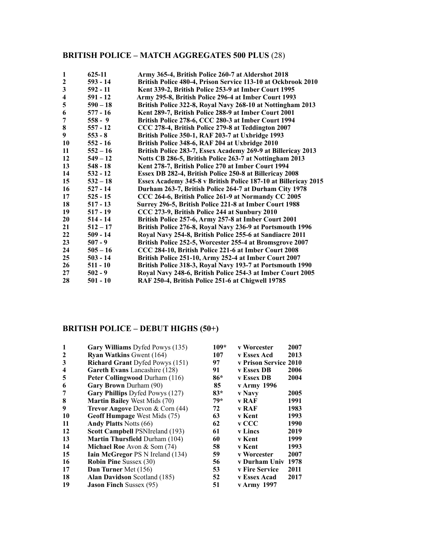# **BRITISH POLICE – MATCH AGGREGATES 500 PLUS** (28)

| 1                       | 625-11     | Army 365-4, British Police 260-7 at Aldershot 2018             |
|-------------------------|------------|----------------------------------------------------------------|
| $\boldsymbol{2}$        | $593 - 14$ | British Police 480-4, Prison Service 113-10 at Ockbrook 2010   |
| $\overline{\mathbf{3}}$ | $592 - 11$ | Kent 339-2, British Police 253-9 at Imber Court 1995           |
| $\overline{\mathbf{4}}$ | 591 - 12   | Army 295-8, British Police 296-4 at Imber Court 1993           |
| 5                       | $590 - 18$ | British Police 322-8, Royal Navy 268-10 at Nottingham 2013     |
| 6                       | $577 - 16$ | Kent 289-7, British Police 288-9 at Imber Court 2001           |
| 7                       | $558 - 9$  | British Police 278-6, CCC 280-3 at Imber Court 1994            |
| 8                       | $557 - 12$ | CCC 278-4, British Police 279-8 at Teddington 2007             |
| 9                       | $553 - 8$  | British Police 350-1, RAF 203-7 at Uxbridge 1993               |
| 10                      | $552 - 16$ | British Police 348-6, RAF 204 at Uxbridge 2010                 |
| 11                      | $552 - 16$ | British Police 283-7, Essex Academy 269-9 at Billericay 2013   |
| 12                      | $549 - 12$ | Notts CB 286-5, British Police 263-7 at Nottingham 2013        |
| 13                      | $548 - 18$ | Kent 278-7, British Police 270 at Imber Court 1994             |
| 14                      | $532 - 12$ | Essex DB 282-4, British Police 250-8 at Billericay 2008        |
| 15                      | $532 - 18$ | Essex Academy 345-8 v British Police 187-10 at Billericay 2015 |
| 16                      | $527 - 14$ | Durham 263-7, British Police 264-7 at Durham City 1978         |
| 17                      | $525 - 15$ | CCC 264-6, British Police 261-9 at Normandy CC 2005            |
| 18                      | $517 - 13$ | Surrey 296-5, British Police 221-8 at Imber Court 1988         |
| 19                      | $517 - 19$ | CCC 273-9, British Police 244 at Sunbury 2010                  |
| 20                      | $514 - 14$ | British Police 257-6, Army 257-8 at Imber Court 2001           |
| 21                      | $512 - 17$ | British Police 276-8, Royal Navy 236-9 at Portsmouth 1996      |
| 22                      | $509 - 14$ | Royal Navy 254-8, British Police 255-6 at Sandiacre 2011       |
| 23                      | $507 - 9$  | British Police 252-5, Worcester 255-4 at Bromsgrove 2007       |
| 24                      | $505 - 16$ | CCC 284-10, British Police 221-6 at Imber Court 2008           |
| 25                      | $503 - 14$ | British Police 251-10, Army 252-4 at Imber Court 2007          |
| 26                      | $511 - 10$ | British Police 318-3, Royal Navy 193-7 at Portsmouth 1990      |
| 27                      | $502 - 9$  | Royal Navy 248-6, British Police 254-3 at Imber Court 2005     |
| 28                      | $501 - 10$ | RAF 250-4, British Police 251-6 at Chigwell 19785              |

# **BRITISH POLICE – DEBUT HIGHS (50+)**

| 1                       | Gary Williams Dyfed Powys (135)         | 109*  | v Worcester           | 2007 |
|-------------------------|-----------------------------------------|-------|-----------------------|------|
| $\mathbf{2}$            | <b>Ryan Watkins Gwent (164)</b>         | 107   | v Essex Acd           | 2013 |
| 3                       | <b>Richard Grant Dyfed Powys (151)</b>  | 97    | v Prison Service 2010 |      |
| $\overline{\mathbf{4}}$ | Gareth Evans Lancashire (128)           | 91    | v Essex DB            | 2006 |
| 5                       | Peter Collingwood Durham (116)          | 86*   | v Essex DB            | 2004 |
| 6                       | <b>Gary Brown Durham (90)</b>           | 85    | v Army 1996           |      |
| 7                       | Gary Phillips Dyfed Powys (127)         | $83*$ | <b>v</b> Navy         | 2005 |
| 8                       | <b>Martin Bailey West Mids (70)</b>     | $79*$ | v RAF                 | 1991 |
| 9                       | Trevor Angove Devon & Corn (44)         | 72    | v RAF                 | 1983 |
| 10                      | Geoff Humpage West Mids (75)            | 63    | v Kent                | 1993 |
| 11                      | <b>Andy Platts Notts (66)</b>           | 62    | v CCC                 | 1990 |
| 12                      | Scott Campbell PSNIreland (193)         | 61    | <b>v</b> Lincs        | 2019 |
| 13                      | <b>Martin Thursfield Durham (104)</b>   | 60    | v Kent                | 1999 |
| 14                      | <b>Michael Roe</b> Avon $\&$ Som (74)   | 58    | v Kent                | 1993 |
| 15                      | <b>Iain McGregor PS N Ireland (134)</b> | 59    | v Worcester           | 2007 |
| 16                      | <b>Robin Pine Sussex (30)</b>           | 56    | v Durham Univ         | 1978 |
| 17                      | Dan Turner Met (156)                    | 53    | <b>v</b> Fire Service | 2011 |
| 18                      | <b>Alan Davidson Scotland (185)</b>     | 52    | v Essex Acad          | 2017 |
| 19                      | <b>Jason Finch Sussex (95)</b>          | 51    | v Army 1997           |      |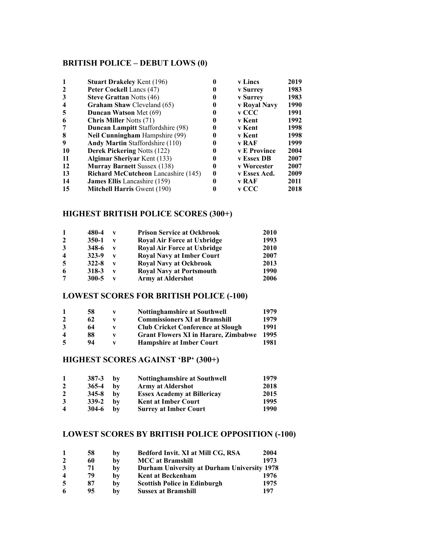# **BRITISH POLICE – DEBUT LOWS (0)**

|                         | <b>Stuart Drakeley Kent (196)</b>          |   | <b>v</b> Lincs      | 2019 |
|-------------------------|--------------------------------------------|---|---------------------|------|
| $\mathbf{2}$            | Peter Cockell Lancs (47)                   |   | <b>v</b> Surrey     | 1983 |
| 3                       | <b>Steve Grattan Notts (46)</b>            |   | <b>v</b> Surrey     | 1983 |
| $\overline{\mathbf{4}}$ | <b>Graham Shaw Cleveland (65)</b>          | O | v Royal Navy        | 1990 |
| 5                       | <b>Duncan Watson Met (69)</b>              |   | v CCC               | 1991 |
| 6                       | <b>Chris Miller Notts (71)</b>             |   | v Kent              | 1992 |
| 7                       | <b>Duncan Lampitt Staffordshire (98)</b>   |   | v Kent              | 1998 |
| 8                       | <b>Neil Cunningham</b> Hampshire (99)      |   | v Kent              | 1998 |
| 9                       | <b>Andy Martin Staffordshire (110)</b>     |   | v RAF               | 1999 |
| 10                      | <b>Derek Pickering Notts (122)</b>         |   | <b>v</b> E Province | 2004 |
| 11                      | <b>Algimar Sherivar Kent (133)</b>         |   | v Essex DB          | 2007 |
| 12                      | <b>Murray Barnett Sussex (138)</b>         |   | v Worcester         | 2007 |
| 13                      | <b>Richard McCutcheon</b> Lancashire (145) |   | v Essex Acd.        | 2009 |
| 14                      | <b>James Ellis</b> Lancashire (159)        |   | v RAF               | 2011 |
| 15                      | <b>Mitchell Harris Gwent (190)</b>         |   | v CCC               | 2018 |

# **HIGHEST BRITISH POLICE SCORES (300+)**

| $\mathbf{1}$            | 480-4     | v | <b>Prison Service at Ockbrook</b>  | 2010 |
|-------------------------|-----------|---|------------------------------------|------|
| $\overline{2}$          | $350-1$   | v | <b>Royal Air Force at Uxbridge</b> | 1993 |
| 3                       | 348-6     | v | <b>Royal Air Force at Uxbridge</b> | 2010 |
| $\overline{\mathbf{4}}$ | 323-9     | v | <b>Royal Navy at Imber Court</b>   | 2007 |
| 5                       | $322 - 8$ | v | <b>Royal Navy at Ockbrook</b>      | 2013 |
| 6                       | 318-3     | v | <b>Royal Navy at Portsmouth</b>    | 1990 |
| 7                       | $300 - 5$ | v | <b>Army at Aldershot</b>           | 2006 |

# **LOWEST SCORES FOR BRITISH POLICE (-100)**

|                         | 58 | v | <b>Nottinghamshire at Southwell</b>         | 1979 |
|-------------------------|----|---|---------------------------------------------|------|
| $\mathbf{2}$            | 62 | v | <b>Commissioners XI at Bramshill</b>        | 1979 |
| 3                       | 64 | v | <b>Club Cricket Conference at Slough</b>    | 1991 |
| $\overline{\mathbf{4}}$ | 88 | v | <b>Grant Flowers XI in Harare, Zimbabwe</b> | 1995 |
| 5                       | 94 | v | <b>Hampshire at Imber Court</b>             | 1981 |

# **HIGHEST SCORES AGAINST 'BP' (300+)**

| 1                       | 387-3     | bv | <b>Nottinghamshire at Southwell</b> | 1979 |
|-------------------------|-----------|----|-------------------------------------|------|
| $\mathbf{2}$            | 365-4     | bv | <b>Army at Aldershot</b>            | 2018 |
| $\mathbf{2}$            | $345 - 8$ | bv | <b>Essex Academy at Billericay</b>  | 2015 |
| 3                       | 339-2     | bv | <b>Kent at Imber Court</b>          | 1995 |
| $\overline{\mathbf{4}}$ | $304-6$   | bv | <b>Surrey at Imber Court</b>        | 1990 |

# **LOWEST SCORES BY BRITISH POLICE OPPOSITION (-100)**

|                         | 58 | by | Bedford Invit. XI at Mill CG, RSA           | 2004 |
|-------------------------|----|----|---------------------------------------------|------|
|                         | 60 | by | <b>MCC</b> at Bramshill                     | 1973 |
| 3                       | 71 | by | Durham University at Durham University 1978 |      |
| $\overline{\mathbf{4}}$ | 79 | bv | <b>Kent at Beckenham</b>                    | 1976 |
| -5                      | 87 | by | <b>Scottish Police in Edinburgh</b>         | 1975 |
| -6                      | 95 | bv | <b>Sussex at Bramshill</b>                  | 197  |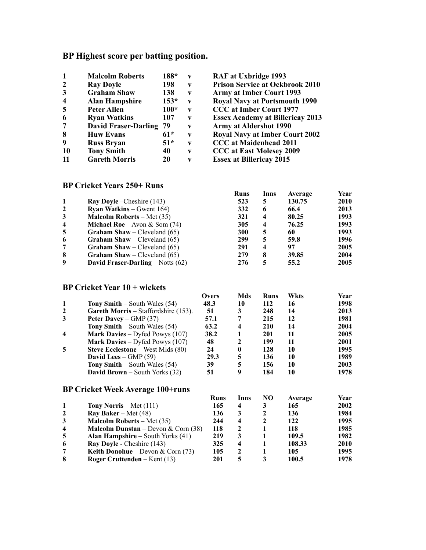# **BP Highest score per batting position.**

| 1                       | <b>Malcolm Roberts</b>      | 188*   | V            |
|-------------------------|-----------------------------|--------|--------------|
| $\boldsymbol{2}$        | <b>Ray Doyle</b>            | 198    | V            |
| 3                       | <b>Graham Shaw</b>          | 138    | $\mathbf{V}$ |
| $\overline{\mathbf{4}}$ | <b>Alan Hampshire</b>       | $153*$ | $\mathbf{V}$ |
| 5                       | Peter Allen                 | 100*   | V            |
| 6                       | <b>Ryan Watkins</b>         | 107    | V            |
| 7                       | <b>David Fraser-Darling</b> | 79     | V            |
| 8                       | <b>Huw Evans</b>            | $61*$  | V            |
| 9                       | <b>Russ Bryan</b>           | $51*$  | V            |
| 10                      | <b>Tony Smith</b>           | 40     | V            |
| 11                      | <b>Gareth Morris</b>        | 20     | V            |

**RAF at Uxbridge 1993 Prison Service at Ockbrook 2010 Army at Imber Court 1993 Royal Navy at Portsmouth 1990 6 CCC at Imber Court 1977 Essex Academy at Billericay 2013 Army at Aldershot 1990 Royal Navy at Imber Court 2002 CCC** at Maidenhead 2011 **CCC at East Molesey 2009 Essex at Billericay 2015** 

# **BP Cricket Years 250+ Runs**

|                  |                                        | Runs | Inns | Average | Year |
|------------------|----------------------------------------|------|------|---------|------|
|                  | <b>Ray Doyle</b> – Cheshire (143)      | 523  | 5    | 130.75  | 2010 |
| $\overline{2}$   | <b>Ryan Watkins</b> – Gwent $164$ )    | 332  | 6    | 66.4    | 2013 |
| 3                | <b>Malcolm Roberts</b> – Met $(35)$    | 321  | 4    | 80.25   | 1993 |
| $\boldsymbol{4}$ | <b>Michael Roe</b> – Avon & Som $(74)$ | 305  | 4    | 76.25   | 1993 |
| 5                | <b>Graham Shaw</b> – Cleveland $(65)$  | 300  | 5    | 60      | 1993 |
| 6                | <b>Graham Shaw</b> – Cleveland $(65)$  | 299  | 5    | 59.8    | 1996 |
| 7                | <b>Graham Shaw</b> – Cleveland $(65)$  | 291  | 4    | 97      | 2005 |
| 8                | <b>Graham Shaw</b> – Cleveland $(65)$  | 279  | 8    | 39.85   | 2004 |
| 9                | David Fraser-Darling – Notts $(62)$    | 276  | 5    | 55.2    | 2005 |

#### **BP Cricket Year 10 + wickets**

|                         |                                          | <b>Overs</b> | Mds  | <b>Runs</b> | Wkts    | Year |
|-------------------------|------------------------------------------|--------------|------|-------------|---------|------|
| 1                       | <b>Tony Smith</b> – South Wales $(54)$   | 48.3         | 10   | 112         | 16      | 1998 |
| $\overline{2}$          | Gareth Morris – Staffordshire (153).     | 51           | 3    | 248         | 14      | 2013 |
| 3                       | Peter Davey – $GMP(37)$                  | 57.1         |      | 215         | 12      | 1981 |
|                         | <b>Tony Smith</b> – South Wales $(54)$   | 63.2         | 4    | 210         | 14      | 2004 |
| $\overline{\mathbf{4}}$ | <b>Mark Davies</b> – Dyfed Powys $(107)$ | 38.2         |      | 201         | 11      | 2005 |
|                         | <b>Mark Davies</b> – Dyfed Powys $(107)$ | 48           | 2    | 199         | 11      | 2001 |
| 5                       | <b>Steve Ecclestone</b> – West Mids (80) | 24           | 0    | 128         | 10      | 1995 |
|                         | David Lees $-$ GMP (59)                  | 29.3         | 5    | 136         | 10      | 1989 |
|                         | <b>Tony Smith</b> – South Wales $(54)$   | 39           | 5    | 156         | 10      | 2003 |
|                         | <b>David Brown</b> – South Yorks (32)    | 51           | 9    | 184         | 10      | 1978 |
|                         | <b>BP Cricket Week Average 100+runs</b>  |              |      |             |         |      |
|                         |                                          | Runs         | lnns | NO          | Average | Year |

| Tony Norris – Met $(111)$                    | 165 |   | 165    | <b>2002</b> |
|----------------------------------------------|-----|---|--------|-------------|
| <b>Ray Baker</b> – Met $(48)$                | 136 |   | 136    | 1984        |
| <b>Malcolm Roberts</b> – Met $(35)$          | 244 | 4 | 122    | 1995        |
| <b>Malcolm Dunstan</b> – Devon & Corn $(38)$ | 118 |   | 118    | 1985        |
| <b>Alan Hampshire</b> – South Yorks $(41)$   | 219 |   | 109.5  | 1982        |
| Ray Doyle - Cheshire (143)                   | 325 |   | 108.33 | <b>2010</b> |
| <b>Keith Donohue</b> – Devon & Corn $(73)$   | 105 |   | 105    | 1995        |
| Roger Cruttenden – Kent $(13)$               | 201 |   | 100.5  | 1978.       |
|                                              |     |   |        |             |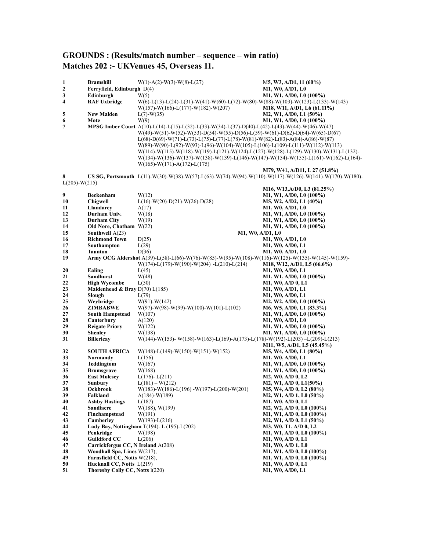# **GROUNDS : (Results/match number – sequence – win ratio) Matches 202 :- UKVenues 45, Overseas 11.**

| 1               | <b>Bramshill</b>                                                  | $W(1) - A(2) - W(3) - W(8) - L(27)$                                                                                                                                                                                                                                | M5, W3, A/D1, 11 (60%)                                |
|-----------------|-------------------------------------------------------------------|--------------------------------------------------------------------------------------------------------------------------------------------------------------------------------------------------------------------------------------------------------------------|-------------------------------------------------------|
| $\mathbf{2}$    | Ferryfield, Edinburgh D(4)                                        |                                                                                                                                                                                                                                                                    | M1, W0, A/D1, L0                                      |
| 3               | Edinburgh                                                         | W(5)                                                                                                                                                                                                                                                               | M1, W1, A/D0, L0 (100%)                               |
| 4               | <b>RAF Uxbridge</b>                                               | $W(6)-L(13)-L(24)-L(31)-W(41)-W(60)-L(72)-W(80)-W(88)-W(103)-W(123)-L(133)-W(143)$                                                                                                                                                                                 |                                                       |
| 5               | <b>New Malden</b>                                                 | $W(157)$ -W(166)-L(177)-W(182)-W(207)                                                                                                                                                                                                                              | M18, W11, A/D1, L6 (61.11%)<br>M2, W1, A/D0, L1 (50%) |
| 6               | Mote                                                              | $L(7)-W(35)$<br>W(9)                                                                                                                                                                                                                                               | M1, W1, A/D0, L0 (100%)                               |
| 7               |                                                                   | MPSG Imber Court A(10)-L(14)-L(15)-L(32)-L(33)-W(34)-L(37)-D(40)-L(42)-L(43)-W(44)-W(46)-W(47)                                                                                                                                                                     |                                                       |
|                 |                                                                   | $W(49)-W(51)-W(52)-W(53)-D(54)-W(55)-D(56)-L(59)-W(61)-D(62)-D(64)-W(65)-D(67)$                                                                                                                                                                                    |                                                       |
|                 |                                                                   | $L(68)-D(69)-W(71)-L(73)-L(75)-L(77)-L(78)-W(81)-W(82)-L(83)-A(84)-A(86)-W(87)$                                                                                                                                                                                    |                                                       |
|                 |                                                                   | $W(89)-W(90)-L(92)-W(93)-L(96)-W(104)-W(105)-L(106)-L(109)-L(111)-W(112)-W(113)$                                                                                                                                                                                   |                                                       |
|                 |                                                                   | $W(114)-W(115)-W(118)-W(119)-L(121)-W(124)-L(127)-W(128)-L(129)-W(130)-W(131)-L(132)-L(129)-W(130)-W(131)-L(132)-W(120)-W(120)-W(120)-W(130)-W(131)-W(131)-W(120)-W(120)-W(120)-W(130)-W(131)-W(131)-W(120)-W(120)-W(120)-W(130)-W(131)-W(131)-W(121)-W(121)-W(12$ |                                                       |
|                 |                                                                   | $W(134)-W(136)-W(137)-W(138)-W(139)-L(146)-W(147)-W(154)-W(155)-L(161)-W(162)-L(164)-W(164)-W(165)-W(165)-W(165)-W(165)-W(165)-W(165)-W(165)-W(165)-W(165)-W(165)-W(165)-W(165)-W(165)-W(165)-W(165)-W(165)-W(165)-W(165)-W(165)-W(165)-W(165)-W(165)-W(165)-W(16$ |                                                       |
|                 |                                                                   | $W(165)$ -W(171)-A(172)-L(175)                                                                                                                                                                                                                                     |                                                       |
|                 |                                                                   |                                                                                                                                                                                                                                                                    | M79, W41, A/D11, L 27 (51.8%)                         |
| 8               |                                                                   | US SG, Portsmouth L(11)-W(30)-W(38)-W(57)-L(63)-W(74)-W(94)-W(110)-W(117)-W(126)-W(141)-W(170)-W(180)-                                                                                                                                                             |                                                       |
| $L(205)-W(215)$ |                                                                   |                                                                                                                                                                                                                                                                    | M16, W13,A/D0, L3 (81.25%)                            |
| 9               | Beckenham                                                         | W(12)                                                                                                                                                                                                                                                              | M1, W1, A/D0, L0 (100%)                               |
| 10              | <b>Chigwell</b>                                                   | $L(16)-W(20)-D(21)-W(26)-D(28)$                                                                                                                                                                                                                                    | M5, W2, A/D2, L1 (40%)                                |
| 11              | Llandarcy                                                         | A(17)                                                                                                                                                                                                                                                              | M1, W0, A/D1, L0                                      |
| 12              | Durham Univ.                                                      | W(18)                                                                                                                                                                                                                                                              | M1, W1, A/D0, L0 (100%)                               |
| 13              | <b>Durham City</b>                                                | W(19)                                                                                                                                                                                                                                                              | M1, W1, A/D0, L0 (100%)                               |
| 14              | Old Nore, Chatham $W(22)$                                         |                                                                                                                                                                                                                                                                    | M1, W1, A/D0, L0 (100%)                               |
| 15              | Southwell $A(23)$                                                 | M1, W0, A/D1, L0                                                                                                                                                                                                                                                   |                                                       |
| 16              | <b>Richmond Town</b>                                              | D(25)                                                                                                                                                                                                                                                              | M1, W0, A/D1, L0                                      |
| 17<br>18        | Southampton                                                       | L(29)                                                                                                                                                                                                                                                              | M1, W0, A/D0, L1                                      |
| 19              | <b>Taunton</b>                                                    | D(36)<br>Army OCG Aldershot A(39)-L(58)-L(66)-W(76)-W(85)-W(95)-W(108)-W(116)-W(125)-W(135)-W(145)-W(159)-                                                                                                                                                         | M1, W0, A/D1, L0                                      |
|                 |                                                                   | $W(174) - L(179) - W(190) - W(204) - L(210) - L(214)$                                                                                                                                                                                                              | M18, W12, A/D1, L5 (66.6%)                            |
| 20              | Ealing                                                            | L(45)                                                                                                                                                                                                                                                              | M1, W0, A/D0, L1                                      |
| 21              | Sandhurst                                                         | W(48)                                                                                                                                                                                                                                                              | M1, W1, A/D0, L0 (100%)                               |
| 22              | <b>High Wycombe</b>                                               | L(50)                                                                                                                                                                                                                                                              | M1, W0, A/D 0, L1                                     |
| 23              | Maidenhead & Bray D(70) L(185)                                    |                                                                                                                                                                                                                                                                    | M1, W0, A/D1, L1                                      |
| 24              | Slough                                                            | L(79)                                                                                                                                                                                                                                                              | M1, W0, A/D0, L1                                      |
| 25              | Weybridge                                                         | $W(91)$ - $W(142)$                                                                                                                                                                                                                                                 | $M2, W2, A/D0, L0 (100\%)$                            |
| 26              | <b>ZIMBABWE</b>                                                   | $W(97)-W(98)-W(99)-W(100)-W(101)-L(102)$                                                                                                                                                                                                                           | M6, W5, A/D0, L1 (83.3%)                              |
| 27<br>28        | <b>South Hampstead</b>                                            | W(107)                                                                                                                                                                                                                                                             | M1, W1, A/D0, L0 (100%)                               |
| 29              | Canterbury<br><b>Reigate Priory</b>                               | A(120)<br>W(122)                                                                                                                                                                                                                                                   | M1, W0, A/D1, L0<br>M1, W1, A/D0, L0 (100%)           |
| 30              | <b>Shenley</b>                                                    | W(138)                                                                                                                                                                                                                                                             | M1, W1, A/D0, L0 (100%)                               |
| 31              | <b>Billericay</b>                                                 | $W(144)-W(153)-W(158)-W(163)-L(169)-A(173)-L(178)-W(192)-L(203)-L(209)-L(213)$                                                                                                                                                                                     |                                                       |
|                 |                                                                   |                                                                                                                                                                                                                                                                    | M11, W5, A/D1, L5 (45.45%)                            |
| 32              | <b>SOUTH AFRICA</b>                                               | $W(148)$ -L(149)-W(150)-W(151)-W(152)                                                                                                                                                                                                                              | M5, W4, A/D0, L1 (80%)                                |
| 33              | Normandy                                                          | L(156)                                                                                                                                                                                                                                                             | M1, W0, A/D0, L1                                      |
| 34              | <b>Teddingtom</b>                                                 | W(167)                                                                                                                                                                                                                                                             | M1, W1, A/D0, L0 (100%)                               |
| 35              | <b>Bromsgrove</b>                                                 | W(168)                                                                                                                                                                                                                                                             | M1, W1, A/D0, L0 (100%)                               |
| 36<br>37        | <b>East Molesey</b>                                               | $L(176) - L(211)$<br>$L(181) - W(212)$                                                                                                                                                                                                                             | M2, W0, A/D 0, L2                                     |
| 38              | Sunbury<br>Ockbrook                                               | W(183)-W(186)-L(196)-W(197)-L(200)-W(201)                                                                                                                                                                                                                          | M2, W1, A/D 0, L1(50%)<br>M5, W4, A/D 0, L2 (80%)     |
| 39              | Falkland                                                          | $A(184)-W(189)$                                                                                                                                                                                                                                                    | M2, W1, A/D 1, L0 (50%)                               |
| 40              | <b>Ashby Hastings</b>                                             | L(187)                                                                                                                                                                                                                                                             | M1, W0, A/D 0, L1                                     |
| 41              | Sandiacre                                                         | W(188), W(199)                                                                                                                                                                                                                                                     | M2, W2, A/D 0, L0 (100%)                              |
| 42              | Finchampstead                                                     | W(191)                                                                                                                                                                                                                                                             | M1, W1, A/D 0, L0 (100%)                              |
| 43              | Camberley                                                         | $W(193) - L(216)$                                                                                                                                                                                                                                                  | M2, W1, A/D 0, L1 (50%)                               |
| 44              |                                                                   | Lady Bay, Nottingham $T(194)$ - L $(195)$ -L $(202)$                                                                                                                                                                                                               | M3, W0, T1, A/D 0, L2                                 |
| 45              | Penkridge                                                         | W(198)                                                                                                                                                                                                                                                             | M1, W1, A/D 0, L0 (100%)                              |
| 46              | <b>Guildford CC</b>                                               | L(206)                                                                                                                                                                                                                                                             | M1, W0, A/D 0, L1                                     |
| 47<br>48        | Carrickfergus CC, N Ireland A(208)<br>Woodhall Spa, Lincs W(217), |                                                                                                                                                                                                                                                                    | M1, W0, A/D 1, L0<br>M1, W1, A/D 0, L0 (100%)         |
| 49              | Farnsfield CC, Notts W(218),                                      |                                                                                                                                                                                                                                                                    | M1, W1, A/D 0, L0 (100%)                              |
| 50              | Hucknall CC, Notts L(219)                                         |                                                                                                                                                                                                                                                                    | M1, W0, A/D 0, L1                                     |
| 51              | Thoresby Colly CC, Notts I(220)                                   |                                                                                                                                                                                                                                                                    | M1, W0, A/D0, L1                                      |
|                 |                                                                   |                                                                                                                                                                                                                                                                    |                                                       |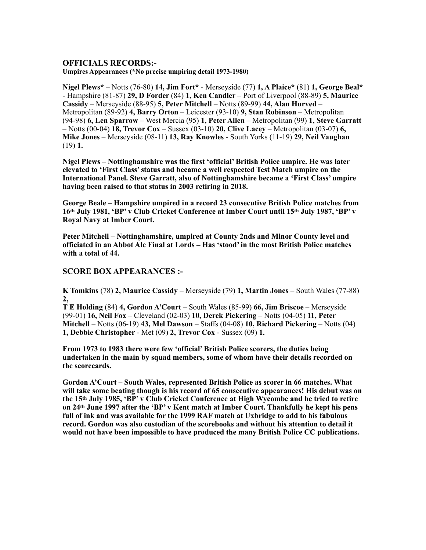#### **OFFICIALS RECORDS:-**

**Umpires Appearances (\*No precise umpiring detail 1973-1980)** 

**Nigel Plews\*** – Notts (76-80) **14, Jim Fort\*** - Merseyside (77) **1, A Plaice\*** (81) **1, George Beal\***  - Hampshire (81-87) **29, D Forder** (84) **1, Ken Candler** – Port of Liverpool (88-89) **5, Maurice Cassidy** – Merseyside (88-95) **5, Peter Mitchell** – Notts (89-99) **44, Alan Hurved** – Metropolitan (89-92) **4, Barry Orton** – Leicester (93-10) **9, Stan Robinson** – Metropolitan (94-98) **6, Len Sparrow** – West Mercia (95) **1, Peter Allen** – Metropolitan (99) **1, Steve Garratt**  – Notts (00-04) **18, Trevor Cox** – Sussex (03-10) **20, Clive Lacey** – Metropolitan (03-07) **6, Mike Jones** – Merseyside (08-11) **13, Ray Knowles** - South Yorks (11-19) **29, Neil Vaughan**  (19) **1.** 

**Nigel Plews – Nottinghamshire was the first 'official' British Police umpire. He was later elevated to 'First Class' status and became a well respected Test Match umpire on the International Panel. Steve Garratt, also of Nottinghamshire became a 'First Class' umpire having been raised to that status in 2003 retiring in 2018.** 

**George Beale – Hampshire umpired in a record 23 consecutive British Police matches from 16th July 1981, 'BP' v Club Cricket Conference at Imber Court until 15th July 1987, 'BP' v Royal Navy at Imber Court.** 

**Peter Mitchell – Nottinghamshire, umpired at County 2nds and Minor County level and officiated in an Abbot Ale Final at Lords – Has 'stood' in the most British Police matches with a total of 44.** 

#### **SCORE BOX APPEARANCES :-**

**K Tomkins** (78) **2, Maurice Cassidy** – Merseyside (79) **1, Martin Jones** – South Wales (77-88) **2,** 

**T E Holding** (84) **4, Gordon A'Court** – South Wales (85-99) **66, Jim Briscoe** – Merseyside (99-01) **16, Neil Fox** – Cleveland (02-03) **10, Derek Pickering** – Notts (04-05) **11, Peter Mitchell** – Notts (06-19) 4**3, Mel Dawson** – Staffs (04-08) **10, Richard Pickering** – Notts (04) **1, Debbie Christopher** - Met (09) **2, Trevor Cox** - Sussex (09) **1.**

**From 1973 to 1983 there were few 'official' British Police scorers, the duties being undertaken in the main by squad members, some of whom have their details recorded on the scorecards.** 

**Gordon A'Court – South Wales, represented British Police as scorer in 66 matches. What will take some beating though is his record of 65 consecutive appearances! His debut was on the 15th July 1985, 'BP' v Club Cricket Conference at High Wycombe and he tried to retire on 24th June 1997 after the 'BP' v Kent match at Imber Court. Thankfully he kept his pens full of ink and was available for the 1999 RAF match at Uxbridge to add to his fabulous record. Gordon was also custodian of the scorebooks and without his attention to detail it would not have been impossible to have produced the many British Police CC publications.**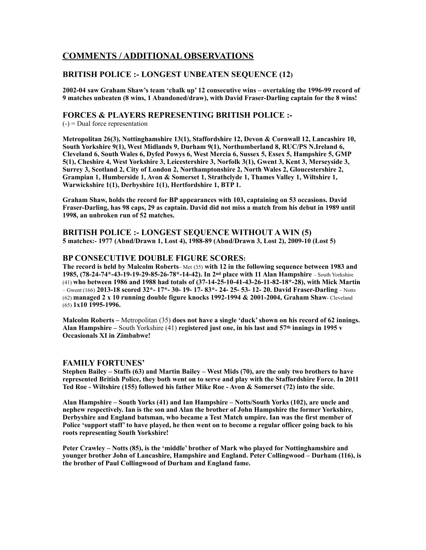# **COMMENTS / ADDITIONAL OBSERVATIONS**

#### **BRITISH POLICE :- LONGEST UNBEATEN SEQUENCE (12)**

**2002-04 saw Graham Shaw's team 'chalk up' 12 consecutive wins – overtaking the 1996-99 record of 9 matches unbeaten (8 wins, 1 Abandoned/draw), with David Fraser-Darling captain for the 8 wins!** 

#### **FORCES & PLAYERS REPRESENTING BRITISH POLICE :-**

 $(-)$  = Dual force representation

**Metropolitan 26(3), Nottinghamshire 13(1), Staffordshire 12, Devon & Cornwall 12, Lancashire 10, South Yorkshire 9(1), West Midlands 9, Durham 9(1), Northumberland 8, RUC/PS N.Ireland 6, Cleveland 6, South Wales 6, Dyfed Powys 6, West Mercia 6, Sussex 5, Essex 5, Hampshire 5, GMP 5(1), Cheshire 4, West Yorkshire 3, Leicestershire 3, Norfolk 3(1), Gwent 3, Kent 3, Merseyside 3, Surrey 3, Scotland 2, City of London 2, Northamptonshire 2, North Wales 2, Gloucestershire 2, Grampian 1, Humberside 1, Avon & Somerset 1, Strathclyde 1, Thames Valley 1, Wiltshire 1, Warwickshire 1(1), Derbyshire 1(1), Hertfordshire 1, BTP 1.** 

**Graham Shaw, holds the record for BP appearances with 103, captaining on 53 occasions. David Fraser-Darling, has 98 caps, 29 as captain. David did not miss a match from his debut in 1989 until 1998, an unbroken run of 52 matches.** 

**BRITISH POLICE :- LONGEST SEQUENCE WITHOUT A WIN (5) 5 matches:- 1977 (Abnd/Drawn 1, Lost 4), 1988-89 (Abnd/Drawn 3, Lost 2), 2009-10 (Lost 5)** 

#### **BP CONSECUTIVE DOUBLE FIGURE SCORES:**

**The record is held by Malcolm Roberts**– Met (35) **with 12 in the following sequence between 1983 and 1985, (78-24-74\*-43-19-19-29-85-26-78\*-14-42). In 2nd place with 11 Alan Hampshire** – South Yorkshire (41) **who between 1986 and 1988 had totals of (37-14-25-10-41-43-26-11-82-18\*-28), with Mick Martin** – Gwent (166) **2013-18 scored 32\*- 17\*- 30- 19- 17- 83\*- 24- 25- 53- 12- 20. David Fraser-Darling** – Notts (62) **managed 2 x 10 running double figure knocks 1992-1994 & 2001-2004, Graham Shaw**- Cleveland (65) **1x10 1995-1996.** 

**Malcolm Roberts –** Metropolitan (35) **does not have a single 'duck' shown on his record of 62 innings. Alan Hampshire –** South Yorkshire (41) **registered just one, in his last and 57th innings in 1995 v Occasionals XI in Zimbabwe!** 

#### **FAMILY FORTUNES'**

**Stephen Bailey – Staffs (63) and Martin Bailey – West Mids (70), are the only two brothers to have represented British Police, they both went on to serve and play with the Staffordshire Force. In 2011 Ted Roe - Wiltshire (155) followed his father Mike Roe - Avon & Somerset (72) into the side.** 

**Alan Hampshire – South Yorks (41) and Ian Hampshire – Notts/South Yorks (102), are uncle and nephew respectively. Ian is the son and Alan the brother of John Hampshire the former Yorkshire, Derbyshire and England batsman, who became a Test Match umpire. Ian was the first member of Police 'support staff' to have played, he then went on to become a regular officer going back to his roots representing South Yorkshire!** 

**Peter Crawley – Notts (85), is the 'middle' brother of Mark who played for Nottinghamshire and younger brother John of Lancashire, Hampshire and England. Peter Collingwood – Durham (116), is the brother of Paul Collingwood of Durham and England fame.**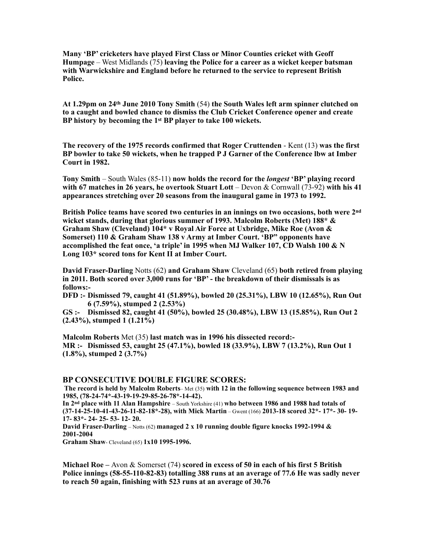**Many 'BP' cricketers have played First Class or Minor Counties cricket with Geoff Humpage** – West Midlands (75) **leaving the Police for a career as a wicket keeper batsman with Warwickshire and England before he returned to the service to represent British Police.** 

**At 1.29pm on 24th June 2010 Tony Smith** (54) **the South Wales left arm spinner clutched on to a caught and bowled chance to dismiss the Club Cricket Conference opener and create BP history by becoming the 1st BP player to take 100 wickets.** 

**The recovery of the 1975 records confirmed that Roger Cruttenden** - Kent (13) **was the first BP bowler to take 50 wickets, when he trapped P J Garner of the Conference lbw at Imber Court in 1982.** 

**Tony Smith** – South Wales (85-11) **now holds the record for the** *longest* **'BP' playing record with 67 matches in 26 years, he overtook Stuart Lott** – Devon & Cornwall (73-92) **with his 41 appearances stretching over 20 seasons from the inaugural game in 1973 to 1992.** 

**British Police teams have scored two centuries in an innings on two occasions, both were 2nd wicket stands, during that glorious summer of 1993. Malcolm Roberts (Met) 188\* & Graham Shaw (Cleveland) 104\* v Royal Air Force at Uxbridge, Mike Roe (Avon & Somerset) 110 & Graham Shaw 138 v Army at Imber Court. 'BP" opponents have accomplished the feat once, 'a triple' in 1995 when MJ Walker 107, CD Walsh 100 & N Long 103\* scored tons for Kent II at Imber Court.** 

**David Fraser-Darling** Notts (62) **and Graham Shaw** Cleveland (65) **both retired from playing in 2011. Both scored over 3,000 runs for 'BP' - the breakdown of their dismissals is as follows:-** 

**DFD :- Dismissed 79, caught 41 (51.89%), bowled 20 (25.31%), LBW 10 (12.65%), Run Out 6 (7.59%), stumped 2 (2.53%)** 

**GS :- Dismissed 82, caught 41 (50%), bowled 25 (30.48%), LBW 13 (15.85%), Run Out 2 (2.43%), stumped 1 (1.21%)** 

**Malcolm Roberts** Met (35) **last match was in 1996 his dissected record:- MR :- Dismissed 53, caught 25 (47.1%), bowled 18 (33.9%), LBW 7 (13.2%), Run Out 1 (1.8%), stumped 2 (3.7%)** 

#### **BP CONSECUTIVE DOUBLE FIGURE SCORES:**

 **The record is held by Malcolm Roberts**– Met (35) **with 12 in the following sequence between 1983 and 1985, (78-24-74\*-43-19-19-29-85-26-78\*-14-42).** 

**In 2nd place with 11 Alan Hampshire** – South Yorkshire (41) **who between 1986 and 1988 had totals of (37-14-25-10-41-43-26-11-82-18\*-28), with Mick Martin** – Gwent (166) **2013-18 scored 32\*- 17\*- 30- 19- 17- 83\*- 24- 25- 53- 12- 20.** 

**David Fraser-Darling** – Notts (62) **managed 2 x 10 running double figure knocks 1992-1994 & 2001-2004** 

**Graham Shaw**- Cleveland (65) **1x10 1995-1996.** 

**Michael Roe –** Avon & Somerset (74) **scored in excess of 50 in each of his first 5 British Police innings (58-55-110-82-83) totalling 388 runs at an average of 77.6 He was sadly never to reach 50 again, finishing with 523 runs at an average of 30.76**